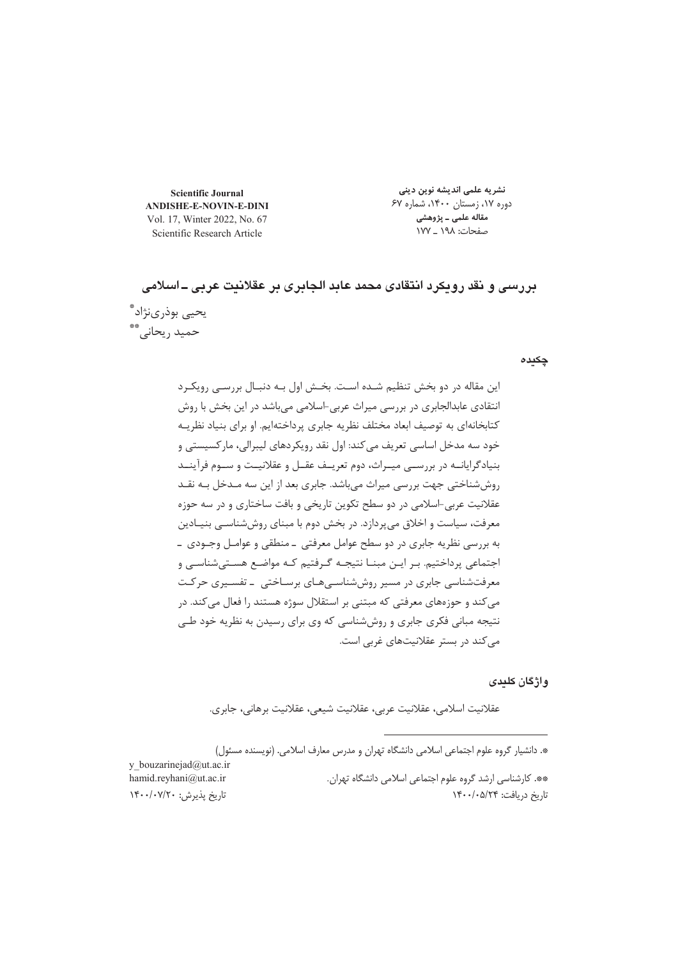**Scientific Journal ANDISHE-E-NOVIN-E-DINI** Vol. 17, Winter 2022, No. 67 Scientific Research Article

نشریه علمی اندیشه نوین دینی دوره ۱۷، زمستان ۱۴۰۰، شماره ۶۷ مقاله علمی ـ پژوهشی صفحات: ۱۹۸ \_ ۱۷۷

بررسي و نقد رويكرد انتقادي محمد عابد الجابري بر عقلانيت عربي ــ اسلامي يحيى بوذرىنژاد\*ّ حمید ریحانے، \*\*

#### چکیدہ

این مقاله در دو بخش تنظیم شـده اسـت. بخـش اول بـه دنبـال بررسـی رویکـرد انتقادی عابدالجابری در بررسی میراث عربی-اسلامی می باشد در این بخش با روش کتابخانهای به توصیف ابعاد مختلف نظریه جابری پرداختهایم. او برای بنیاد نظریـه خود سه مدخل اساسی تعریف می کند: اول نقد رویکردهای لیبرالی، مار کسیستی و بنیادگرایانــه در بررســی میــراث، دوم تعریــف عقــل و عقلانیــت و ســوم فرآینــد روششناختی جهت بررسی میراث میباشد. جابری بعد از این سه مـدخل بـه نقـد عقلانیت عربی-اسلامی در دو سطح تکوین تاریخی و بافت ساختاری و در سه حوزه معرفت، سیاست و اخلاق می پردازد. در بخش دوم با مبنای روششناسـی بنیـادین به بررسی نظریه جابری در دو سطح عوامل معرفتی \_ منطقی و عوامـل وجـودی \_ اجتماعی پرداختیم. بـر ایـن مبنــا نتیجـه گـرفتیم کـه مواضـع هسـتیشناسـی و معرفتشناسی جابری در مسیر روششناسی هـای برسـاختی \_ تفسـیری حرکـت می کند و حوزههای معرفتی که مبتنی بر استقلال سوژه هستند را فعال می کند. در نتیجه مبانی فکری جابری و روششناسی که وی برای رسیدن به نظریه خود طے مے کند در بستر عقلانیتھای غربی است.

واژگان کلیدی

عقلانيت اسلامي، عقلانيت عربي، عقلانيت شيعي، عقلانيت برهاني، جابري.

\*. دانشیار گروه علوم اجتماعی اسلامی دانشگاه تهران و مدرس معارف اسلامی. (نویسنده مسئول)

y bouzarinejad@ut.ac.ir hamid.reyhani@ut.ac.ir تاريخ يذيرش: ١۴٠٠/٠٧/٢٠

\*\*. كارشناسي ارشد گروه علوم اجتماعي اسلامي دانشگاه تهران. تاريخ دريافت: ١۴٠٠/٠۵/٢۴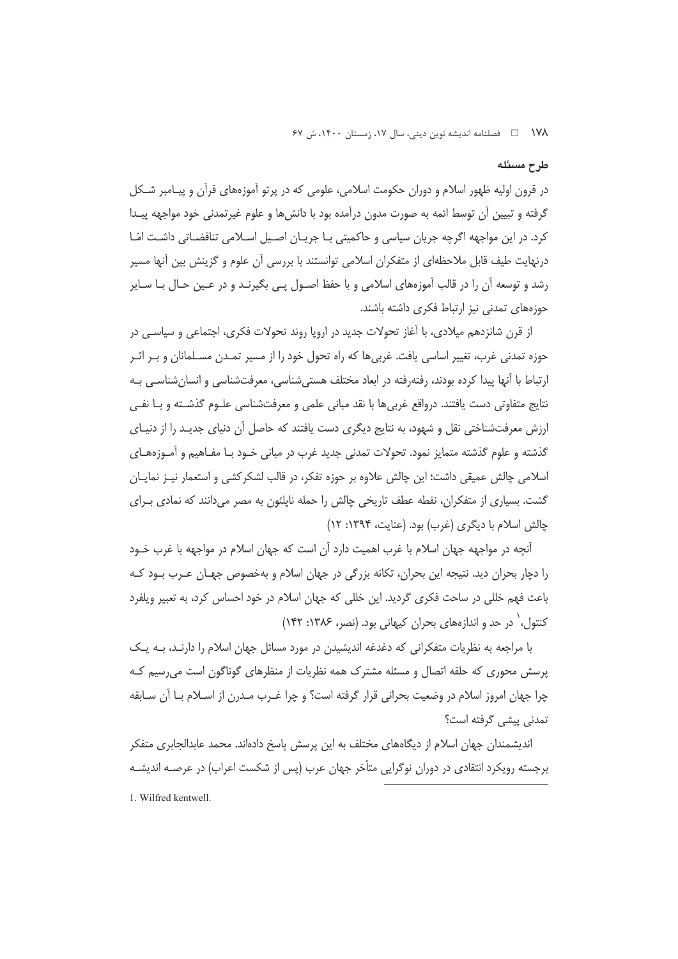١٧٨ هصلنامه انديشه نوين ديني، سال ١٧، زمستان ١۴٠٠، ش ۶٧

### طرح مسئله

در قرون اولیه ظهور اسلام و دوران حکومت اسلامی، علومی که در پرتو آموزههای قرآن و پیـامبر شـکل گرفته و تبیین آن توسط ائمه به صورت مدون درآمده بود با دانش۵ا و علوم غیرتمدنی خود مواجهه پیـدا کرد. در این مواجهه اگرچه جریان سیاسی و حاکمیتی بـا جریـان اصـیل اسـلامی تناقضـاتی داشـت امّـا درنهایت طیف قابل ملاحظهای از متفکران اسلامی توانستند با بررسی آن علوم و گزینش بین آنها مسیر رشد و توسعه آن را در قالب آموزههای اسلامی و با حفظ اصـول پـی بگیرنـد و در عـین حـال بـا سـایر حوزههای تمدنی نیز ارتباط فکری داشته باشند.

از قرن شانزدهم میلادی، با آغاز تحولات جدید در اروپا روند تحولات فکری، اجتماعی و سیاسے در حوزه تمدنی غرب، تغییر اساسی یافت. غربی ها که راه تحول خود را از مسیر تمـدن مسـلمانان و بـر اثـر ارتباط با آنها پیدا کرده بودند، رفتهرفته در ابعاد مختلف هستے شناسی، معرفتشناسی و انسان شناسے بـه نتايج متفاوتي دست يافتند. درواقع غربي ها با نقد مباني علمي و معرفتشناسي علـوم گذشـته و بــا نفــي ارزش معرفتشناختی نقل و شهود، به نتایج دیگری دست یافتند که حاصل آن دنیای جدیـد را از دنیـای گذشته و علوم گذشته متمایز نمود. تحولات تمدنی جدید غرب در مبانی خــود بــا مفــاهیم و آمــوزههــای اسلامی چالش عمیقی داشت؛ این چالش علاوه بر حوزه تفکر، در قالب لشکرکشی و استعمار نیـز نمایــان گشت. بسیاری از متفکران، نقطه عطف تاریخی چالش را حمله ناپلئون به مصر می،دانند که نمادی بـرای چالش اسلام با دیگری (غرب) بود. (عنایت، ۱۳۹۴: ۱۲)

آنچه در مواجهه جهان اسلام با غرب اهمیت دارد آن است که جهان اسلام در مواجهه با غرب خـود را دچار بحران دید. نتیجه این بحران، تکانه بزرگی در جهان اسلام و بهخصوص جهـان عـرب بـود کـه باعث فهم خللی در ساحت فکری گردید. این خللی که جهان اسلام در خود احساس کرد، به تعبیر ویلفرد کنتول، ` در حد و اندازههای بحران کیهانی بود. (نصر، ۱۳۸۶: ۱۴۲)

با مراجعه به نظریات متفکرانی که دغدغه اندیشیدن در مورد مسائل جهان اسلام را دارنـد، بـه یـک پرسش محوری که حلقه اتصال و مسئله مشترک همه نظریات از منظرهای گوناگون است می رسیم کـه چرا جهان امروز اسلام در وضعیت بحرانی قرار گرفته است؟ و چرا غـرب مـدرن از اسـلام بـا آن سـابقه تمدنی پیشی گرفته است؟

اندیشمندان جهان اسلام از دیگاههای مختلف به این پرسش پاسخ دادهاند. محمد عابدالجابری متفکر برجسته رویکرد انتقادی در دوران نوگرایی متأخر جهان عرب (پس از شکست اعراب) در عرصـه اندیشـه 1. Wilfred kentwell.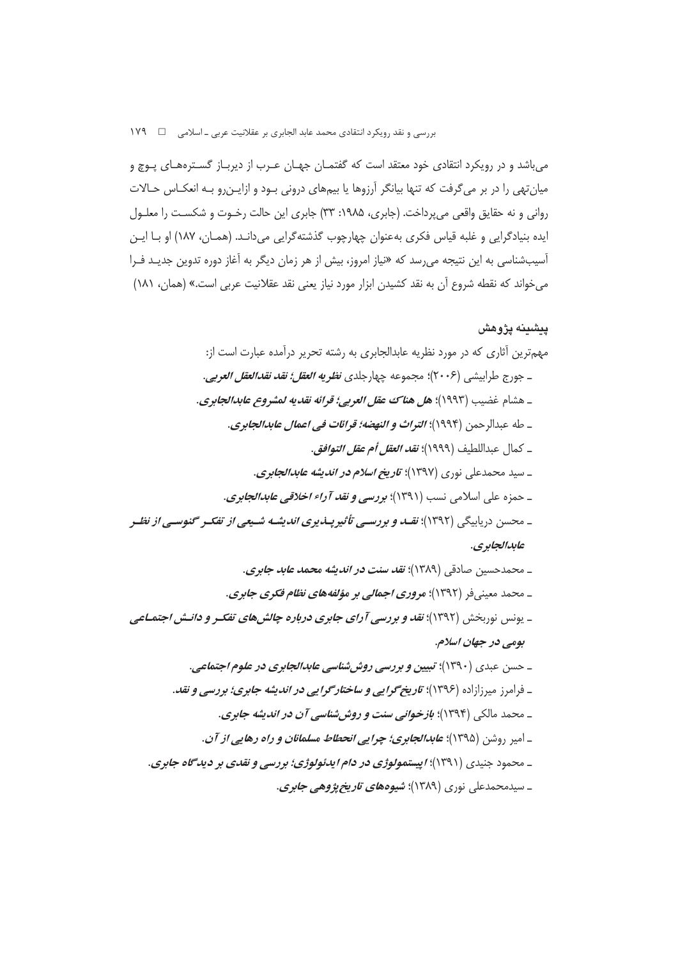میباشد و در رویکرد انتقادی خود معتقد است که گفتمـان جهـان عـرب از دیربـاز گسـترههـای پـوچ و میان تهی را در بر می گرفت که تنها بیانگر آرزوها یا بیمهای درونی بـود و ازایـن٫و بـه انعکـاس حـالات روانی و نه حقایق واقعی میپرداخت. (جابری، ۱۹۸۵: ۳۳) جابری این حالت رخـوت و شکسـت را معلـول یده بنیادگرایی و غلبه قیاس فکری بهعنوان چهارچوب گذشتهگرایی میدانـد. (همـان، ۱۸۷) او بـا ایـن أسیبشناسی به این نتیجه میرسد که «نیاز امروز، بیش از هر زمان دیگر به آغاز دوره تدوین جدیـد فـرا میخواند که نقطه شروع اًن به نقد کشیدن ابزار مورد نیاز یعنی نقد عقلانیت عربی است.» (همان، ۱۸۱)

### **پیشینه پژوهش**

مهمترین أثاری که در مورد نظریه عابدالجابری به رشته تحریر درآمده عبارت است از: ـ جورج طرابيشي (٢٠٠۶)؛ مجموعه چهارجلدي *نظريه العقل؛ نقد نقدالعقل العربي*. ـ هشام غضيب (١٩٩٣): ه*ل هناك عقل العربي؛ قوائه نقديه لمشروع عابدالجابرى.* ـ طه عبدالرحمن (۱۹۹۴)؛ *التراث و النهضه؛ قرائات في اعمال عابدالجابرى*. ـ كمال عبداللطيف (١٩٩٩)؛ *نقد العقل أم عقل التوافق*. ـ سید محمدعلی نوری (۱۳۹۷)؛ *تاریخ اسلام در اندیشه عابدالجابری*. ـ حمزه على اسلامي نسب (١٣٩١)؛ **بررسي و نق***د آراء اخلاقي عابدالجاب***ري.** ـ محسن دریابیگی (۱۳۹۲)؛ *نقــد و بررســی تأثیرپــذیری اندیشــه شــیعی از تف<i>کــر گنوسـی از نظــ*ر *عابدالجابري.*  $\sim 100$ 

**\
B7\*73 /7 @97**  Q- <I M6-2!B **\
B \
'+&< \.(z -(B \**  Q- /6 !B **-\*0Bk @
'.\k(8G@ \
B \" -7**  Q-=Vb14 |4 **&>B@ - -\*0B&)\*@ \
I(7\* -6{ - 1** Q- 8 M-2 **7 x\
B /7 @ o0D od** Q-O GG6G/ **\
B /7 @" -6{9 - D=** Q- T? !B **"= -G )-|c3 -8x\
I(7\*** Q-R=M)' 6 **\
B Go7@ \7 x\w( 7&@@ \w(0-** Q- 6N 4!B

ـ سیدمحمدعلی نوری (۱۳۸۹)؛ **شیوهه***ای تاریخ پژوهی جابری***.**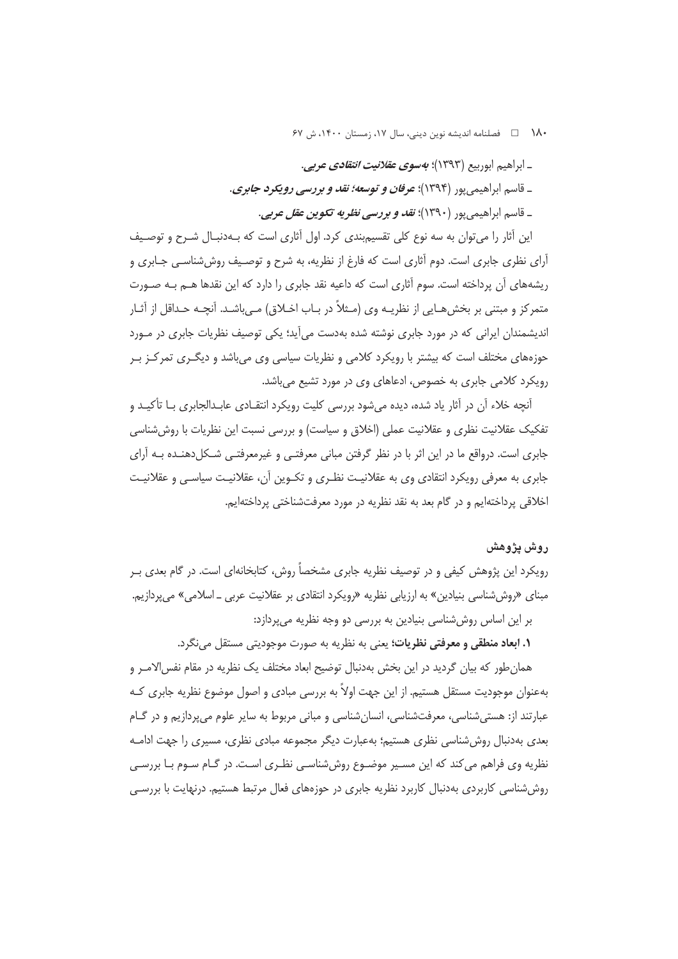• ١٨ □ فصلنامه انديشه نوين ديني، سال ١٧، زمستان ١۴٠٠، ش ۶۷

\_ ابراهيم ابوربيع (١٣٩٣)؛ *بهسوي عقلانيت انتقادي عربي.* 

\_ قاسم ابراهیمی پور (۱۳۹۴)؛ *عرفان و توسعه؛ نقد و بررسی رویکرد جابری*.

\_ قاسم ابراهيمي يور (١٣٩٠)؛ *نقد و بررسي نظريه تكوين عقل عربي*.

این آثار را می توان به سه نوع کلی تقسیم بندی کرد. اول آثاری است که بـهدنبـال شـرح و توصـیف آرای نظری جابری است. دوم آثاری است که فارغ از نظریه، به شرح و توصیف روش شناسبی جـابری و ریشههای آن پرداخته است. سوم آثاری است که داعیه نقد جابری را دارد که این نقدها هــم بــه صــورت متمرکز و مبتنی بر بخش هـایی از نظریـه وی (مـثلاً در بـاب اخـلاق) مـیباشـد. آنچـه حـداقل از آثـار اندیشمندان ایرانی که در مورد جابری نوشته شده بهدست می آید؛ یکی توصیف نظریات جابری در مـورد حوزههای مختلف است که بیشتر با رویکرد کلامی و نظریات سیاسی وی می باشد و دیگـری تمرکـز بـر رویکرد کلامی جابری به خصوص، ادعاهای وی در مورد تشیع میباشد.

آنچه خلاء آن در آثار یاد شده، دیده می شود بررسی کلیت رویکرد انتقـادی عابـدالجابری بـا تأکیـد و تفکیک عقلانیت نظری و عقلانیت عملی (اخلاق و سیاست) و بررسی نسبت این نظریات با روش شناسی جابری است. درواقع ما در این اثر با در نظر گرفتن مبانی معرفتـی و غیرمعرفتـی شـكل۵دهنـده بـه آرای جابری به معرفی رویکرد انتقادی وی به عقلانیـت نظـری و تکـوین آن، عقلانیـت سیاسـی و عقلانیـت اخلاقی پرداختهایم و در گام بعد به نقد نظریه در مورد معرفتشناختی پرداختهایم.

# روش يژوهش

رویکرد این پژوهش کیفی و در توصیف نظریه جابری مشخصاً روش، کتابخانهای است. در گام بعدی بـر مبنای «روش شناسی بنیادین» به ارزیابی نظریه «رویکرد انتقادی بر عقلانیت عربی ــ اسلامی» می پردازیم. بر این اساس روش شناسی بنیادین به بررسی دو وجه نظریه می پردازد:

**۱. ابعاد منطقی و معرفتی نظریات؛** یعنی به نظریه به صورت موجودیتی مستقل مینگرد.

همان طور که بیان گردید در این بخش بهدنبال توضیح ابعاد مختلف یک نظریه در مقام نفس الامـر و بهعنوان موجودیت مستقل هستیم. از این جهت اولاً به بررسی مبادی و اصول موضوع نظریه جابری کـه عبارتند از: هستے شناسے، معرفتشناسے، انسان شناسی و مبانی مربوط به سایر علوم مے پردازیم و در گےام بعدی بهدنبال روششناسی نظری هستیم؛ بهعبارت دیگر مجموعه مبادی نظری، مسیری را جهت ادامـه نظریه وی فراهم می کند که این مسـیر موضـوع روششناسـی نظـری اسـت. در گـام سـوم بـا بررسـی روش شناسی کاربردی بهدنبال کاربرد نظریه جابری در حوزههای فعال مرتبط هستیم. درنهایت با بررسـی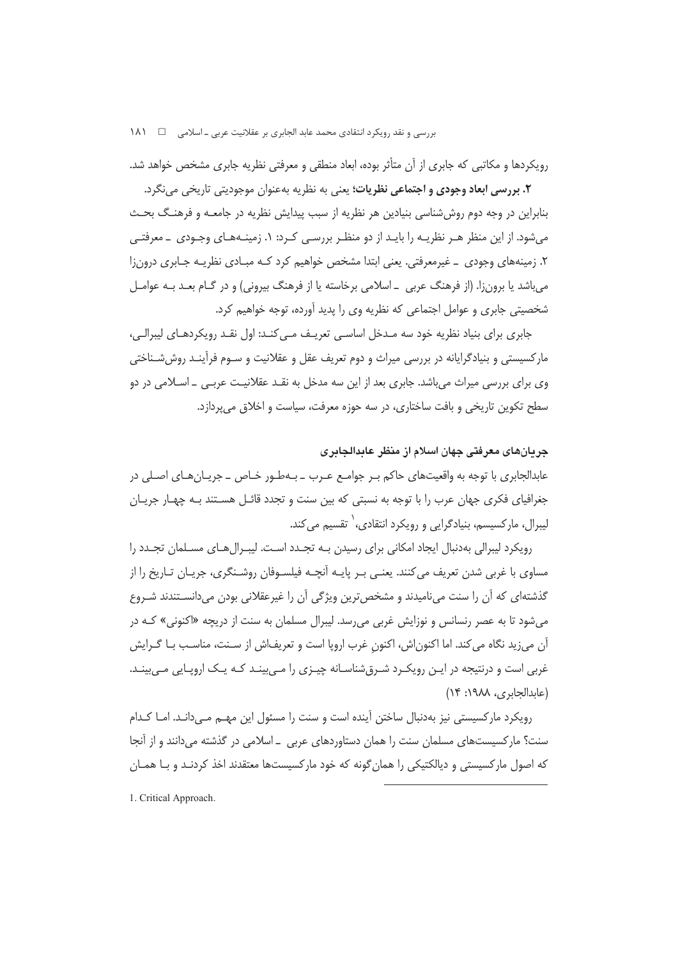رویکردها و مکاتبی که جابری از آن متأثر بوده، ابعاد منطقی و معرفتی نظریه جابری مشخص خواهد شد.

**۲. بررسی ابعاد وجودی و اجتماعی نظریات؛** یعنی به نظریه بهعنوان موجودیتی تاریخی مینگرد. بنابراین در وجه دوم روش شناسی بنیادین هر نظریه از سبب پیدایش نظریه در جامعـه و فرهنـگ بحـث میشود. از این منظر هـر نظریـه را بایـد از دو منظـر بررسـی کـرد: ۱. زمینـههـای وجـودی \_ معرفتـی ۲. زمینههای وجودی \_ غیرمعرفتی. یعنی ابتدا مشخص خواهیم کرد کـه مبـادی نظریـه جـابری درونزا می باشد یا برونزا. (از فرهنگ عربی \_اسلامی برخاسته یا از فرهنگ بیرونی) و در گـام بعـد بـه عوامـل شخصیتی جابری و عوامل اجتماعی که نظریه وی را پدید آورده، توجه خواهیم کرد.

جابری برای بنیاد نظریه خود سه مـدخل اساسـی تعریـف مـی کنـد: اول نقـد رویکردهـای لیبرالـی، مارکسیستی و بنیادگرایانه در بررسی میراث و دوم تعریف عقل و عقلانیت و سـوم فرآینـد روش شـناختی وی برای بررسی میراث میباشد. جابری بعد از این سه مدخل به نقـد عقلانیـت عربـی \_ اسـلامی در دو سطح تکوین تاریخی و بافت ساختاری، در سه حوزه معرفت، سیاست و اخلاق می پردازد.

### جريانهاي معرفتي جهان اسلام از منظر عابدالجابري

عابدالجابري با توجه به واقعیتهاي حاکم بـر جوامـع عـرب ــ بـهطـور خـاص ــ جریــان هـای اصـلی در جغرافیای فکری جهان عرب را با توجه به نسبتی که بین سنت و تجدد قائـل هسـتند بـه چهـار جریـان لیبرال، مارکسیسم، بنیادگرایی و رویکرد انتقادی،<sup>۱</sup> تقسیم می کند.

رویکرد لیبرالی بهدنبال ایجاد امکانی برای رسیدن بـه تجـدد اسـت. لیبـرال@عای مسـلمان تجـدد را مساوي با غربي شدن تعريف مي كنند. يعنـي بـر پايـه أنچـه فيلسـوفان روشـنگري، جريـان تـاريخ را از گذشتهای که آن را سنت میiامیدند و مشخص ترین ویژگی آن را غیرعقلانی بودن میدانسـتندند شـروع میشود تا به عصر رنسانس و نوزایش غربی می رسد. لیبرال مسلمان به سنت از دریچه «اکنونی» کـه در آن می;ید نگاه می کند. اما اکنون اش، اکنون غرب اروپا است و تعریف۱ش از سـنت، مناسـب بـا گـرایش غربی است و درنتیجه در ایـن رویکـرد شـرق(شناسـانه چیـزی را مـی بینـد کـه یـک ارویـایی مـی بینـد. (عابدالجابري، ١٩٨٨: ١۴)

رویکرد مارکسیستی نیز بهدنبال ساختن آینده است و سنت را مسئول این مهـم مـی‹دانـد. امـا کـدام سنت؟ مارکسیستهای مسلمان سنت را همان دستاوردهای عربی \_ اسلامی در گذشته میدانند و از آنجا که اصول مارکسیستی و دیالکتیکی را همان گونه که خود مارکسیستها معتقدند اخذ کردنـد و بـا همـان

1. Critical Approach.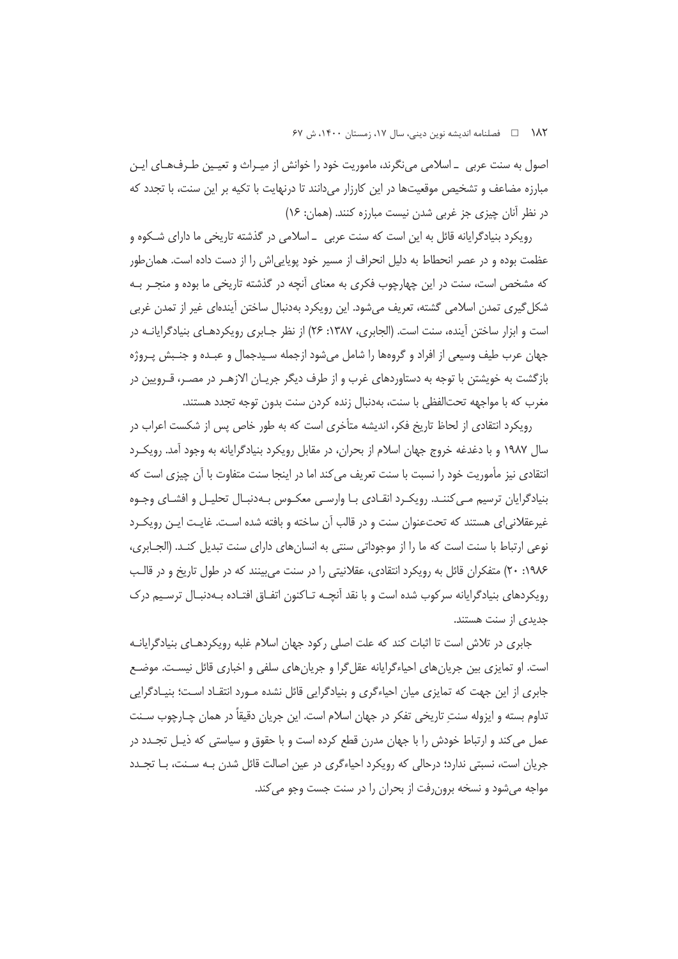اصول به سنت عربی ــ اسلامی می نگرند، ماموریت خود را خوانش از میـراث و تعیـین طـرف&ـای ایـن مبارزه مضاعف و تشخیص موقعیتها در این کارزار میدانند تا درنهایت با تکیه بر این سنت، با تجدد که در نظر آنان چیزی جز غربی شدن نیست مبارزه کنند. (همان: ۱۶)

رویکرد بنیادگرایانه قائل به این است که سنت عربی \_اسلامی در گذشته تاریخی ما دارای شکوه و عظمت بوده و در عصر انحطاط به دلیل انحراف از مسیر خود پویایی|ش را از دست داده است. همان طور که مشخص است، سنت در این چهارچوب فکری به معنای آنچه در گذشته تاریخی ما بوده و منجـر بـه شکل گیری تمدن اسلامی گشته، تعریف می شود. این رویکرد بهدنبال ساختن آیندهای غیر از تمدن غربی است و ابزار ساختن آینده، سنت است. (الجابری، ۱۳۸۷: ۲۶) از نظر جـابری رویکردهـای بنیادگرایانــه در جهان عرب طيف وسيعي از افراد و گروهها را شامل ميشود ازجمله سـيدجمال و عبـده و جنـبش پـروژه بازگشت به خویشتن با توجه به دستاوردهای غرب و از طرف دیگر جریـان الازهـر در مصـر، قـرویین در مغرب که با مواجهه تحتالفظی با سنت، بهدنبال زنده کردن سنت بدون توجه تجدد هستند.

رویکرد انتقادی از لحاظ تاریخ فکر، اندیشه متأخری است که به طور خاص پس از شکست اعراب در سال ۱۹۸۷ و با دغدغه خروج جهان اسلام از بحران، در مقابل رویکرد بنیادگرایانه به وجود آمد. رویک رد انتقادی نیز مأموریت خود را نسبت با سنت تعریف می کند اما در اینجا سنت متفاوت با آن چیزی است که بنیادگرایان ترسیم مے کننـد. رویکـرد انقـادی بـا وارسـی معکـوس بـهدنبـال تحلیـل و افشـای وجـوه غیرعقلانی ای هستند که تحتءنوان سنت و در قالب آن ساخته و بافته شده اسـت. غایـت ایـن رویکـرد نوعی ارتباط با سنت است که ما را از موجوداتی سنتی به انسان های دارای سنت تبدیل کنـد. (الجــابری، ۱۹۸۶: ۲۰) متفکران قائل به رویکرد انتقادی، عقلانیتی را در سنت می بینند که در طول تاریخ و در قالب رویکردهای بنیادگرایانه سرکوب شده است و با نقد آنچــه تــاکنون اتفــاق افتــاده بــهدنبــال ترســیم درک حدیدی از سنت هستند.

جابری در تلاش است تا اثبات کند که علت اصلی رکود جهان اسلام غلبه رویکردهـای بنیادگرایانـه است. او تمایزی بین جریان های احیاءگرایانه عقل گرا و جریان های سلفی و اخباری قائل نیسـت. موضـع جابری از این جهت که تمایزی میان احیاءگری و بنیادگرایی قائل نشده مـورد انتقـاد اسـت؛ بنیــادگرایی تداوم بسته و ايزوله سنت تاريخي تفكر در جهان اسلام است. اين جريان دقيقاً در همان چـارچوب ســنت عمل می کند و ارتباط خودش را با جهان مدرن قطع کرده است و با حقوق و سیاستی که ذیـل تجــدد در جریان است، نسبتی ندارد؛ درحالی که رویکرد احیاءگری در عین اصالت قائل شدن بـه سـنت، بـا تجـدد مواجه می شود و نسخه برون رفت از بحران را در سنت جست وجو می کند.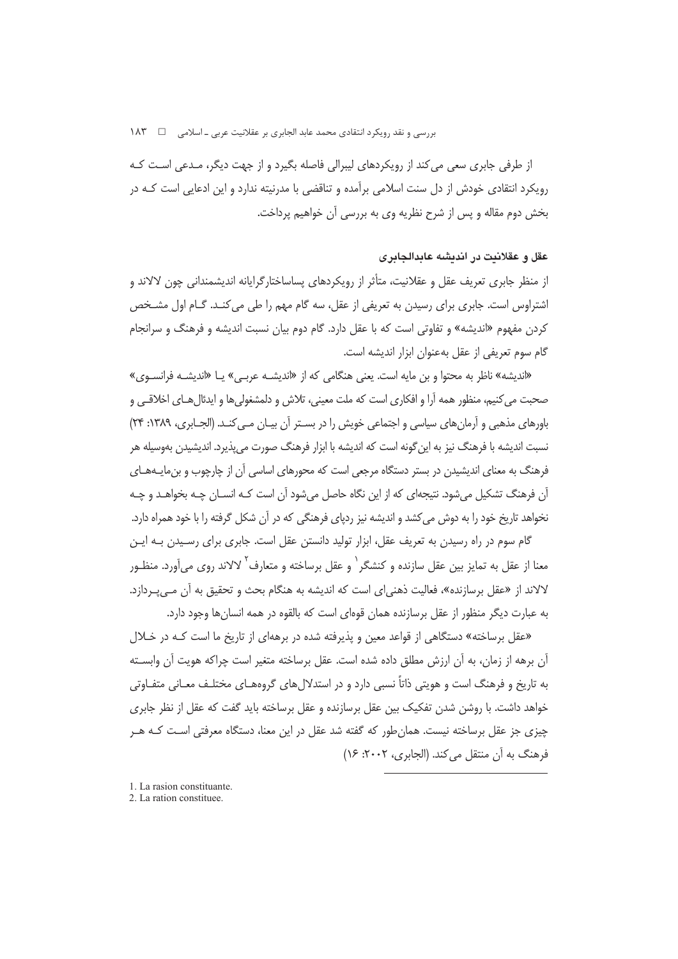از طرفی جابری سعی می کند از رویکردهای لیبرالی فاصله بگیرد و از جهت دیگر، مـدعی اسـت کـه رویکرد انتقادی خودش از دل سنت اسلامی برآمده و تناقضی با مدرنیته ندارد و این ادعایی است کـه در بخش دوم مقاله و پس از شرح نظریه وی به بررسی آن خواهیم پرداخت.

## عقل و عقلانیت در اندیشه عابدالجابری

از منظر جابری تعریف عقل و عقلانیت، متأثر از رویکردهای پساساختارگرایانه اندیشمندانی چون لالاند و اشتراوس است. جابری برای رسیدن به تعریفی از عقل، سه گام مهم را طی می کنـد. گـام اول مشـخص کردن مفهوم «اندیشه» و تفاوتی است که با عقل دارد. گام دوم بیان نسبت اندیشه و فرهنگ و سرانجام گام سوم تعريفي از عقل بهعنوان ابزار انديشه است.

«اندیشه» ناظر به محتوا و بن مایه است. یعنی هنگامی که از «اندیشـه عربـی» یـا «اندیشـه فرانسـوی» صحبت مي كنيم، منظور همه آرا و افكاري است كه ملت معيني، تلاش و دلمشغولي ها و ايدئال هـاي اخلاقـي و باورهای مذهبی و آرمان های سیاسی و اجتماعی خویش را در بسـتر آن پیـان مـی کنـد. (الجـابری، ۱۳۸۹: ۲۴) نسبت اندیشه با فرهنگ نیز به این گونه است که اندیشه با ابزار فرهنگ صورت می پذیرد. اندیشیدن بهوسیله هر فرهنگ به معنای اندیشیدن در بستر دستگاه مرجعی است که محورهای اساسی آن از چارچوب و بن،مایــههــای آن فرهنگ تشکیل می شود. نتیجهای که از این نگاه حاصل می شود آن است کـه انسـان چـه بخواهـد و چـه نخواهد تاریخ خود را به دوش می کشد و اندیشه نیز ردیای فرهنگی که در آن شکل گرفته را با خود همراه دارد.

گام سوم در راه رسیدن به تعریف عقل، ابزار تولید دانستن عقل است. جابری برای رسـیدن بــه ایــن معنا از عقل به تمایز بین عقل سازنده و کنشگر ٰ و عقل برساخته و متعارف ٔ لالاند روی میآورد. منظـور لالاند از «عقل برسازنده»، فعالیت ذهنی ای است که اندیشه به هنگام بحث و تحقیق به آن مـ ،پـردازد. به عبارت دیگر منظور از عقل برسازنده همان قوهای است که بالقوه در همه انسان ها وجود دارد.

«عقل برساخته» دستگاهی از قواعد معین و پذیرفته شده در برههای از تاریخ ما است کـه در خـلال آن برهه از زمان، به آن ارزش مطلق داده شده است. عقل برساخته متغیر است چراکه هویت آن وابسـته به تاریخ و فرهنگ است و هویتی ذاتاً نسبی دارد و در استدلال های گروههـای مختلـف معـانی متفـاوتی خواهد داشت. با روشن شدن تفکیک بین عقل برسازنده و عقل برساخته باید گفت که عقل از نظر جابری چیزی جز عقل برساخته نیست. همان طور که گفته شد عقل در این معنا، دستگاه معرفتی است کـه هـر فرهنگ به آن منتقل می کند. (الجابری، ۲۰۰۲: ۱۶)

- 1. La rasion constituante.
- 2. La ration constituee.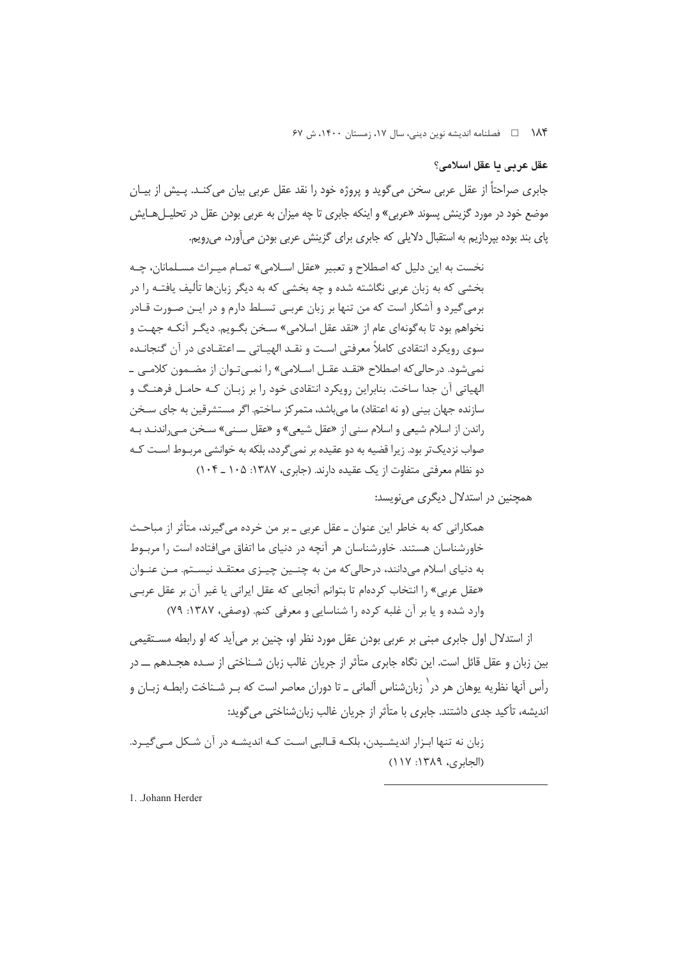# عقل عربي ما عقل اسلامي؟

جابری صراحتاً از عقل عربی سخن می گوید و پروژه خود را نقد عقل عربی بیان می کنـد. پـیش از بیـان موضع خود در مورد گزینش پسوند «عربی» و اینکه جابری تا چه میزان به عربی بودن عقل در تحلیـلهـایش پای بند بوده بپردازیم به استقبال دلایلی که جابری برای گزینش عربی بودن میآورد، میرویم.

نخست به این دلیل که اصطلاح و تعبیر «عقل اسـلامی» تمـام میـراث مسـلمانان، چـه بخشی که به زبان عربی نگاشته شده و چه بخشی که به دیگر زبانها تألیف یافتـه را در برمی گیرد و آشکار است که من تنها بر زبان عربے تسـلط دارم و در ایـن صـورت قـادر نخواهم بود تا به گونهای عام از «نقد عقل اسلامی» سـخن بگـویم. دیگـر آنکـه جهـت و سوی رویکرد انتقادی کاملاً معرفتی است و نقـد الهیـاتی ـــ اعتقـادی در آن گنجانـده نمی شود. در حالی که اصطلاح «نقـد عقـل اسـلامی» را نمـی تـوان از مضـمون کلامـی ـ الهیاتی آن جدا ساخت. بنابراین رویکرد انتقادی خود را بر زبـان کـه حامـل فرهنـگ و سازنده جهان بینی (و نه اعتقاد) ما می باشد، متمرکز ساختم. اگر مستشرقین به جای سـخن راندن از اسلام شیعی و اسلام سنی از «عقل شیعی» و «عقل سـنی» سـخن مـی راندنــد بــه صواب نزدیک تر بود. زیرا قضیه به دو عقیده بر نمی گردد، بلکه به خوانشی مربـوط اسـت کــه دو نظام معرفتی متفاوت از یک عقیده دارند. (جابری، ۱۳۸۷: ۱۰۵ ـ ۱۰۴)

همچنین در استدلال دیگری می نویسد:

همکارانی که به خاطر این عنوان ــ عقل عربی ــ بر من خرده میگیرند، متأثر از مباحـث خاورشناسان هستند. خاورشناسان هر آنچه در دنیای ما اتفاق می افتاده است را مربوط به دنیای اسلام میدانند، درحالی که من به چنـین چیـزی معتقـد نیسـتم. مـن عنـوان «عقل عربي» ,ا انتخاب كردهام تا بتوانم آنجايي كه عقل ايراني يا غير آن بر عقل عربـي وارد شده و یا بر آن غلبه کرده را شناسایی و معرفی کنم. (وصفی، ۱۳۸۷: ۷۹)

از استدلال اول جابری مبنی بر عربی بودن عقل مورد نظر او، چنین بر میآید که او رابطه مسـتقیمی بین زبان و عقل قائل است. این نگاه جابری متأثر از جریان غالب زبان شـناختی از سـده هجـدهم ـــ در رأس آنها نظریه یوهان هر در` زبانشناس آلمانی ـ تا دوران معاصر است که بـر شـناخت رابطـه زبـان و اندیشه، تأکید جدی داشتند. جابری با متأثر از جریان غالب زبانشناختی میگوید:

زبان نه تنها ابـزار اندیشــیدن، بلکـه قــالبی اسـت کـه اندیشـه در آن شــکل مــی گیــرد. (الحادي، ١٣٨٩: ١١٧)

1. Johann Herder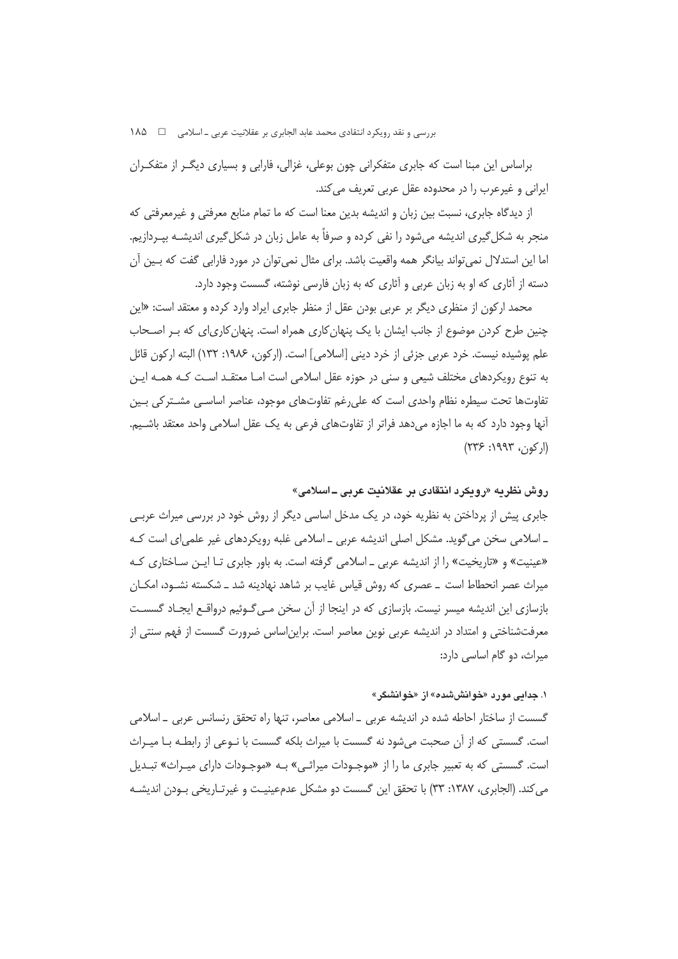براساس این مبنا است که جابری متفکرانی چون بوعلی، غزالی، فارابی و بسیاری دیگـر از متفکـران ایرانی و غیرعرب را در محدوده عقل عربی تعریف می کند.

از دیدگاه جابری، نسبت بین زبان و اندیشه بدین معنا است که ما تمام منابع معرفتی و غیرمعرفتی که منجر به شکل گیری اندیشه میشود را نفی کرده و صرفاً به عامل زبان در شکل گیری اندیشـه بپـردازیم. اما این استدلال نمی تواند بیانگر همه واقعیت باشد. برای مثال نمی توان در مورد فارابی گفت که بـین آن دسته از آثاری که او به زبان عربی و آثاری که به زبان فارسی نوشته، گسست وجود دارد.

محمد ارکون از منظری دیگر بر عربی بودن عقل از منظر جابری ایراد وارد کرده و معتقد است: «این چنین طرح کردن موضوع از جانب ایشان با یک پنهان کاری همراه است. پنهان کاری|ی که بـر اصـحاب علم يوشيده نيست. خرد عربي جزئي از خرد ديني [اسلامي] است. (اركون، ١٩٨۶: ١٣٢) البته اركون قائل به تنوع رویکردهای مختلف شیعی و سنی در حوزه عقل اسلامی است امـا معتقـد اسـت کـه همـه ایـن تفاوتها تحت سيطره نظام واحدى است كه على رغم تفاوتهاى موجود، عناصر اساسـي مشـتركي بـين آنها وجود دارد که به ما اجازه می دهد فراتر از تفاوتهای فرعی به یک عقل اسلامی واحد معتقد باشـیم.  $(1775.1997:391)$ 

## روش نظريه «رويكرد انتقادى بر عقلانيت عربي ــ اسلامي»

جابری پیش از پرداختن به نظریه خود، در یک مدخل اساسی دیگر از روش خود در بررسی میراث عربـی ۔ اسلامی سخن می گوید. مشکل اصلی اندیشه عربی ۔ اسلامی غلبه رویکردهای غیر علمی ای است کـه «عینیت» و «تاریخیت» را از اندیشه عربی ـ اسلامی گرفته است. به باور جابری تـا ایـن سـاختاری کـه میراث عصر انحطاط است \_ عصری که روش قیاس غایب بر شاهد نهادینه شد \_ شکسته نشـود، امکـان بازسازی این اندیشه میسر نیست. بازسازی که در اینجا از آن سخن مـی گـوئیم درواقـع ایجـاد گسسـت معرفتشناختی و امتداد در اندیشه عربی نوین معاصر است. براین اساس ضرورت گسست از فهم سنتی از میراث، دو گام اساسی دارد:

## ۱. جدایی مورد «خوانششده» از «خوانشکر»

گسست از ساختار احاطه شده در اندیشه عربی ــ اسلامی معاصر، تنها راه تحقق رنسانس عربی ــ اسلامی است. گسستی که از آن صحبت می،شود نه گسست با میراث بلکه گسست با نـوعی از رابطـه بـا میـراث است. گسستی که به تعبیر جابری ما را از «موجـودات میراثـی» بـه «موجـودات دارای میـراث» تبـدیل می کند. (الجابری، ۱۳۸۷: ۳۳) با تحقق این گسست دو مشکل عدمعینیـت و غیرتـاریخی بـودن اندیشـه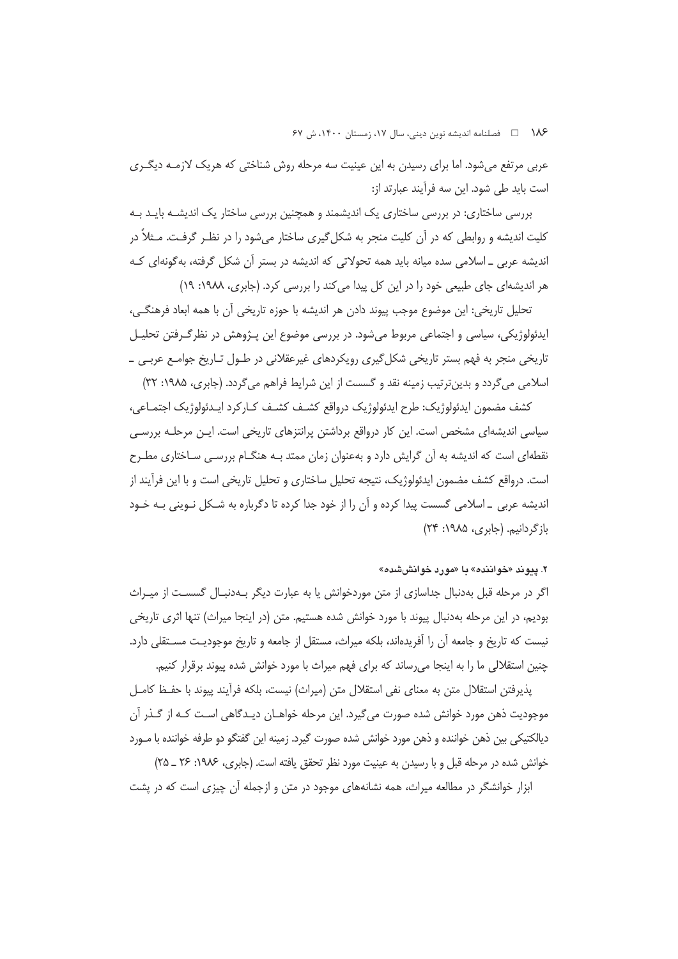۱۸۶ = هطلنامه اندیشه نوین دینی، سال ۱۷، زمستان ۱۴۰۰، ش ۶۷

عربی مرتفع میشود. اما برای رسیدن به این عینیت سه مرحله روش شناختی که هریک لازمـه دیگـری است باید طی شود. این سه فرآیند عبارتد از:

بررسی ساختاری: در بررسی ساختاری یک اندیشمند و همچنین بررسی ساختار یک اندیشـه بایـد بـه کلیت اندیشه و روابطی که در آن کلیت منجر به شکل گیری ساختار میشود را در نظـر گرفـت. مـثلاً در اندیشه عربی \_ اسلامی سده میانه باید همه تحولاتی که اندیشه در بستر آن شکل گرفته، بهگونهای کـه هر اندیشهای جای طبیعی خود را در این کل پیدا می کند را بررسی کرد. (جابری، ۱۹۸۸: ۱۹)

تحلیل تاریخی: این موضوع موجب پیوند دادن هر اندیشه با حوزه تاریخی آن با همه ابعاد فرهنگی، ایدئولوژیکی، سیاسی و اجتماعی مربوط میشود. در بررسی موضوع این پـژوهش در نظرگـرفتن تحلیـل تاریخی منجر به فهم بستر تاریخی شکل گیری رویکردهای غیرعقلانی در طـول تـاریخ جوامـع عربـی ـ اسلامی میگردد و بدین ترتیب زمینه نقد و گسست از این شرایط فراهم میگردد. (جابری، ۱۹۸۵: ۳۲)

كشف مضمون ايدئولوژيک: طرح ايدئولوژيک درواقع کشـف کشـف کــار کرد ايــدئولوژيک اجتمـاعي، سیاسی اندیشهای مشخص است. این کار درواقع برداشتن پرانتزهای تاریخی است. ایـن مرحلـه بررسـی نقطهای است که اندیشه به آن گرایش دارد و بهعنوان زمان ممتد بـه هنگــام بررســی ســاختاری مطــرح است. درواقع کشف مضمون ایدئولوژیک، نتیجه تحلیل ساختاری و تحلیل تاریخی است و با این فرآیند از اندیشه عربی \_ اسلامی گسست پیدا کرده و آن را از خود جدا کرده تا دگرباره به شـکل نـوینی بـه خـود باز گردانیم. (جابری، ۱۹۸۵: ۲۴)

### ۲. پیوند «خواننده» با «مورد خوانششده»

اگر در مرحله قبل بهدنبال جداسازی از متن موردخوانش یا به عبارت دیگر بـهدنبـال گسسـت از میـراث بوديم، در اين مرحله بهدنبال پيوند با مورد خوانش شده هستيم. متن (در اينجا ميراث) تنها اثري تاريخي نیست که تاریخ و جامعه آن را آفریدهاند، بلکه میراث، مستقل از جامعه و تاریخ موجودیت مسـتقلی دارد. چنین استقلالی ما را به اینجا می رساند که برای فهم میراث با مورد خوانش شده پیوند برقرار کنیم.

پذیرفتن استقلال متن به معنای نفی استقلال متن (میراث) نیست، بلکه فرآیند پیوند با حفـظ کامـل موجودیت ذهن مورد خوانش شده صورت می گیرد. این مرحله خواهــان دیــدگاهی اسـت کـه از گــذر آن دیالکتیکی بین ذهن خواننده و ذهن مورد خوانش شده صورت گیرد. زمینه این گفتگو دو طرفه خواننده با مـورد خوانش شده در مرحله قبل و با رسیدن به عینیت مورد نظر تحقق یافته است. (جابری، ۱۹۸۶: ۲۶ \_ ۲۵)

ابزار خوانشگر در مطالعه میراث، همه نشانههای موجود در متن و ازجمله آن چیزی است که در پشت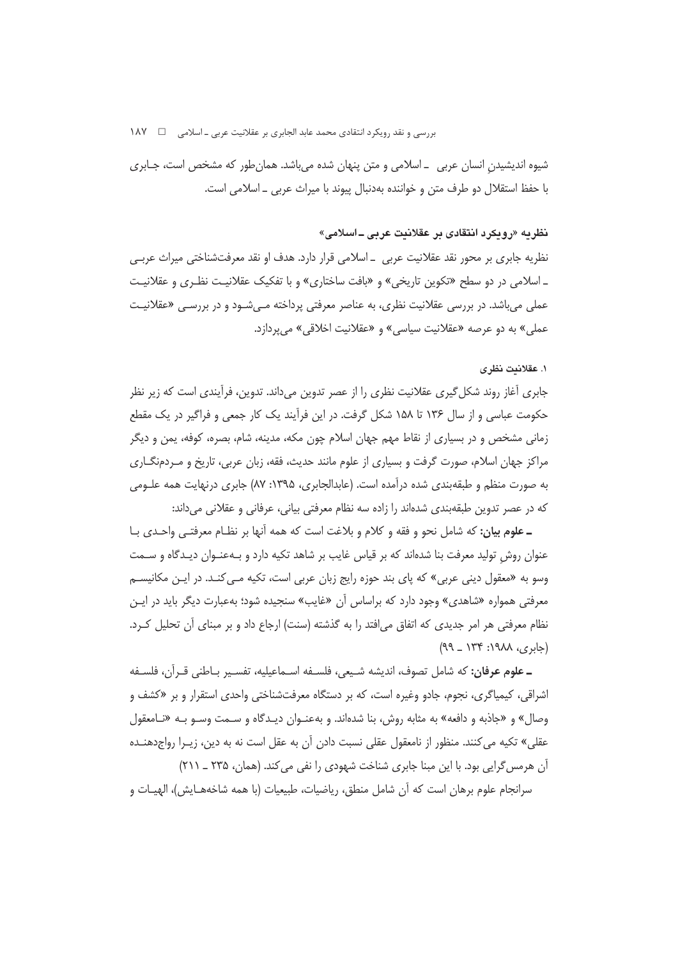شیوه اندیشیدن انسان عربی \_اسلامی و متن پنهان شده میباشد. همانطور که مشخص است، جـابری با حفظ استقلال دو طرف متن و خواننده بهدنبال پیوند با میراث عربی ـ اسلامی است.

### نظريه «رويكرد انتقادى بر عقلانيت عربي ــ اسلامي»

نظریه جابری بر محور نقد عقلانیت عربی ــ اسلامی قرار دارد. هدف او نقد معرفتشناختی میراث عربـی \_ اسلامي در دو سطح «تكوين تاريخي» و «بافت ساختاري» و با تفكيك عقلانيـت نظـري و عقلانيـت عملي مي باشد. در بررسي عقلانيت نظري، به عناصر معرفتي پرداخته مـي شـود و در بررسـي «عقلانيـت عملي» به دو عرصه «عقلانيت سياسي» و «عقلانيت اخلاقي» مي پردازد.

## ١. عقلانيت نظر ي

جابری آغاز روند شکل گیری عقلانیت نظری را از عصر تدوین میداند. تدوین، فرآیندی است که زیر نظر حکومت عباسی و از سال ۱۳۶ تا ۱۵۸ شکل گرفت. در این فراًیند یک کار جمعی و فراگیر در یک مقطع زمانی مشخص و در بسیاری از نقاط مهم جهان اسلام چون مکه، مدینه، شام، بصره، کوفه، یمن و دیگر مراکز جهان اسلام، صورت گرفت و بسیاری از علوم مانند حدیث، فقه، زبان عربی، تاریخ و مـردمنگــاری به صورت منظم و طبقهبندی شده درآمده است. (عابدالجابری، ۱۳۹۵: ۸۷) جابری درنهایت همه علـومی که در عصر تدوین طبقهبندی شدهاند را زاده سه نظام معرفتی بیانی، عرفانی و عقلانی می داند:

ـ علوم بيان: كه شامل نحو و فقه و كلام و بلاغت است كه همه آنها بر نظـام معرفتـي واحـدي بـا عنوان روش تولید معرفت بنا شدهاند که بر قیاس غایب بر شاهد تکیه دارد و بـهعنـوان دیـدگاه و سـمت وسو به «معقول دینی عربی» که پای بند حوزه رایج زبان عربی است، تکیه مـی کنـد. در ایـن مکانیسـم معرفتی همواره «شاهدی» وجود دارد که براساس آن «غایب» سنجیده شود؛ بهعبارت دیگر باید در ایـن نظام معرفتی هر امر جدیدی که اتفاق می|فتد را به گذشته (سنت) ارجاع داد و بر مبنای آن تحلیل کـرد.  $(99 - 179 \cdot \text{A} \wedge \text{A} \wedge \text{A} \vee \text{A})$ 

ـ علوم عرفان: كه شامل تصوف، انديشه شـيعي، فلسـفه اسـماعيليه، تفسـير بـاطني قـرآن، فلسـفه اشراقی، کیمیاگری، نجوم، جادو وغیره اس*ت*، که بر دستگاه معرفتشناختی واحدی استقرار و بر «کشف و وصال» و «جاذبه و دافعه» به مثابه روش، بنا شدهاند. و بهعنـوان دیـدگاه و سـمت وسـو بـه «نـامعقول عقلي» تكيه مي كنند. منظور از نامعقول عقلي نسبت دادن آن به عقل است نه به دين، زيـرا رواج<هنـده آن هرمس گرایی بود. با این مبنا جابری شناخت شهودی را نفی می کند. (همان، ۲۳۵ ـ ۲۱۱)

سرانجام علوم برهان است كه آن شامل منطق، رياضيات، طبيعيات (با همه شاخههـايش)، الهيـات و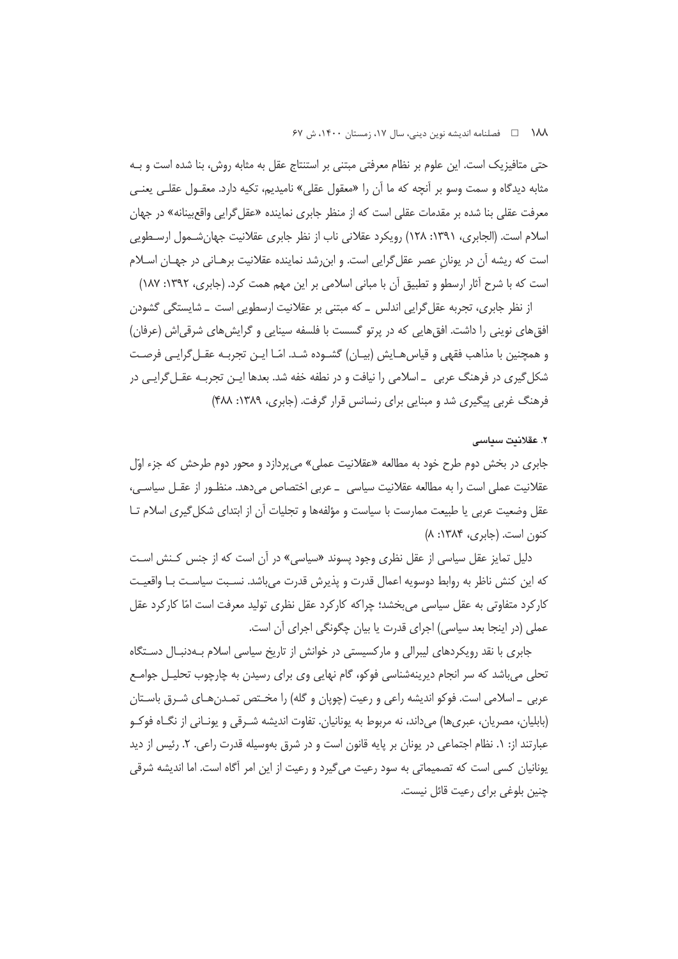حتی متافیزیک است. این علوم بر نظام معرفتی مبتنی بر استنتاج عقل به مثابه روش، بنا شده است و بـه مثابه دیدگاه و سمت وسو بر اّنچه که ما اّن را «معقول عقلی» نامیدیم، تکیه دارد. معقـول عقلـی یعنـی معرفت عقلی بنا شده بر مقدمات عقلی است که از منظر جابری نماینده «عقل گرایی واقعبینانه» در جهان اسلام است. (الجابري، ١٣٩١: ١٢٨) رويكرد عقلاني ناب از نظر جابري عقلانيت جهان شـمول ارسـطويي است که ریشه آن در یونان عصر عقلگرایی است. و ابن رشد نماینده عقلانیت برهـانی در جهـان اسـلام است که با شرح آثار ارسطو و تطبیق آن با مبانی اسلامی بر این مهم همت کرد. (جابری، ۱۳۹۲: ۱۸۷)

از نظر جابری، تجربه عقل گرایی اندلس \_ که مبتنی بر عقلانیت ارسطویی است \_ شایستگی گشودن افق های نوینی را داشت. افق هایی که در پرتو گسست با فلسفه سینایی و گرایش های شرقی اش (عرفان) و همچنین با مذاهب فقهی و قیاس هـایش (بیـان) گشـوده شـد. امّـا ایـن تجربـه عقـل گرایـی فرصـت شکل گیری در فرهنگ عربی \_ اسلامی را نیافت و در نطفه خفه شد. بعدها ایـن تجربـه عقـل گرایـی در فرهنگ غربی پیگیری شد و مبنایی برای رنسانس قرار گرفت. (جابری، ۱۳۸۹: ۴۸۸)

### ٢. عقلانيت سياسي

جابری در بخش دوم طرح خود به مطالعه «عقلانیت عملی» میپردازد و محور دوم طرحش که جزء اوّل عقلانیت عملی است را به مطالعه عقلانیت سیاسی \_ عربی اختصاص میدهد. منظـور از عقـل سیاسـی، عقل وضعیت عربی یا طبیعت ممارست با سیاست و مؤلفهها و تجلیات آن از ابتدای شکل گیری اسلام تـا کنون است. (جابری، ۱۳۸۴: ۸)

دلیل تمایز عقل سیاسی از عقل نظری وجود پسوند «سیاسی» در آن است که از جنس کنش است كه اين كنش ناظر به روابط دوسويه اعمال قدرت و پذيرش قدرت مي باشد. نسـبت سياسـت بـا واقعيـت کارکرد متفاوتی به عقل سیاسی می بخشد؛ چراکه کارکرد عقل نظری تولید معرفت است امّا کارکرد عقل عملی (در اینجا بعد سیاسی) اجرای قدرت یا بیان چگونگی اجرای آن است.

جابری با نقد رویکردهای لیبرالی و مارکسیستی در خوانش از تاریخ سیاسی اسلام بـهدنبـال دسـتگاه تحلی می باشد که سر انجام دیرینهشناسی فوکو، گام نهایی وی برای رسیدن به چارچوب تحلیـل جوامـع عربي \_ اسلامي است. فوكو انديشه راعي و رعيت (چوپان و گله) را مخـتص تمـدنهـاي شـرق باسـتان (بابلیان، مصریان، عبریها) میداند، نه مربوط به یونانیان. تفاوت اندیشه شـرقی و یونـانی از نگـاه فوكـو عبارتند از: ١. نظام اجتماعي در يونان بر پايه قانون است و در شرق بهوسيله قدرت راعي. ٢. رئيس از ديد یونانیان کسی است که تصمیماتی به سود رعیت می¢یرد و رعیت از این امر آگاه است. اما اندیشه شرقی چنین بلوغی برای رعیت قائل نیست.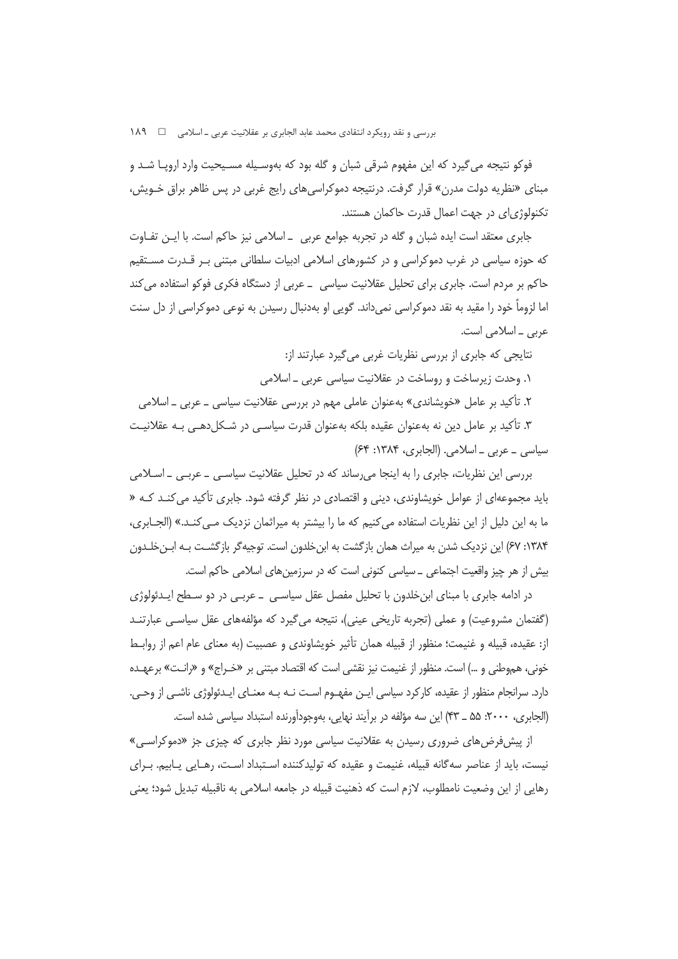فوکو نتیجه می گیرد که این مفهوم شرقی شبان و گله بود که بهوسـیله مسـیحیت وارد اروپـا شـد و مبنای «نظریه دولت مدرن» قرار گرفت. درنتیجه دموکراسیهای رایج غربی در پس ظاهر براق خـویش، تکنولوژیای در جهت اعمال قدرت حاکمان هستند.

جابری معتقد است ایده شبان و گله در تجربه جوامع عربی \_اسلامی نیز حاکم است. با ایـن تفـاوت که حوزه سیاسی در غرب دموکراسی و در کشورهای اسلامی ادبیات سلطانی مبتنی بـر قـدرت مسـتقیم حاکم بر مردم است. جابری برای تحلیل عقلانیت سیاسی \_ عربی از دستگاه فکری فوکو استفاده می کند اما لزوماً خود را مقید به نقد دموکراسی نمیداند. گویی او بهدنبال رسیدن به نوعی دموکراسی از دل سنت عربي \_ اسلامي است.

> نتایجی که جابری از بررسی نظریات غربی میگیرد عبارتند از: ۱. وحدت زیرساخت و روساخت در عقلانیت سیاسی عربی ـ اسلامی

۲. تأکید بر عامل «خویشاندی» بهعنوان عاملی مهم در بررسی عقلانیت سیاسی ــ عربی ــ اسلامی

۳. تأکید بر عامل دین نه بهعنوان عقیده بلکه بهعنوان قدرت سیاسـی در شـکل(دهـی بـه عقلانیـت سیاسی \_ عربی \_ اسلامی. (الجابری، ۱۳۸۴: ۶۴)

بررسی این نظریات، جابری را به اینجا می رساند که در تحلیل عقلانیت سیاسی ـ عربـی ـ اسـلامی باید مجموعهای از عوامل خویشاوندی، دینی و اقتصادی در نظر گرفته شود. جابری تأکید می کنـد کـه « ما به این دلیل از این نظریات استفاده می کنیم که ما را بیشتر به میراثمان نزدیک مــی کنــد.» (الجــابری، ۱۳۸۴: ۶۷) این نزدیک شدن به میراث همان بازگشت به ابن خلدون است. توجیهگر بازگشـت بـه ابـن خلـدون بیش از هر چیز واقعیت اجتماعی \_ سیاسی کنونی است که در سرزمینهای اسلامی حاکم است.

در ادامه جابری با مبنای ابنِ خلدون با تحلیل مفصل عقل سیاسـی \_ عربـی در دو سـطح ایـدئولوژی (گفتمان مشروعیت) و عملی (تجربه تاریخی عینی)، نتیجه میگیرد که مؤلفههای عقل سیاسی عبارتنـد از: عقيده، قبيله و غنيمت؛ منظور از قبيله همان تأثير خويشاوندي و عصبيت (به معناي عام اعم از روابـط خونی، هموطنی و …) است. منظور از غنیمت نیز نقشی است که اقتصاد مبتنی بر «خـراج» و «رانـت» برعهـده دارد. سرانجام منظور از عقیده، کارکرد سیاسی ایـن مفهـوم اسـت نـه بـه معنـای ایـدئولوژی ناشـی از وحـی. (الجابري، ٢٠٠٠: ۵۵ \_ ۴۳) اين سه مؤلفه در برآيند نهايي، بهوجودآورنده استبداد سياسي شده است.

از پیش فرض های ضروری رسیدن به عقلانیت سیاسی مورد نظر جابری که چیزی جز «دموکراسی» نیست، باید از عناصر سه گانه قبیله، غنیمت و عقیده که تولیدکننده اسـتبداد اسـت، رهـایی یـابیم. بـرای رهایی از این وضعیت نامطلوب، لازم است که ذهنیت قبیله در جامعه اسلامی به ناقبیله تبدیل شود؛ یعنی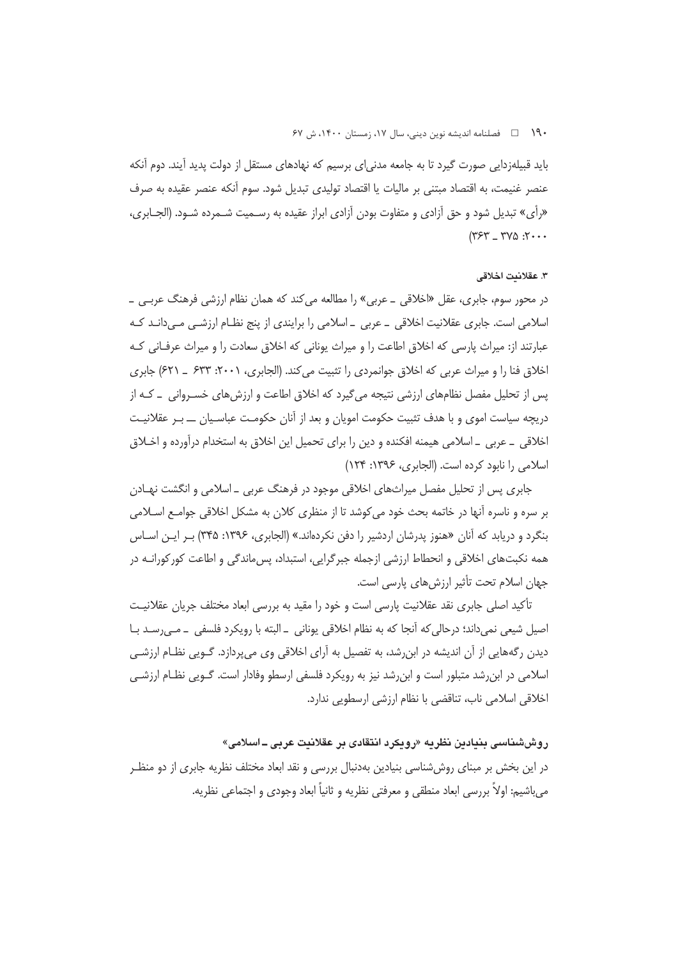۱۹۰ هـ فصلنامه انديشه نوين ديني، سال ۱۷، زمستان ۱۴۰۰، ش ۶۷

باید قبیلهزدایی صورت گیرد تا به جامعه مدنی|ی برسیم که نهادهای مستقل از دولت پدید آیند. دوم آنکه عنصر غنیمت، به اقتصاد مبتنی بر مالیات یا اقتصاد تولیدی تبدیل شود. سوم آنکه عنصر عقیده به صرف «رأى» تبديل شود و حق آزادي و متفاوت بودن آزادي ابراز عقيده به رسـميت شـمرده شـود. (الجــابري،  $(757 - 790 \cdot 7 \cdot \cdot \cdot$ 

#### ٣. عقلانيت اخلاقي

در محور سوم، جابری، عقل «اخلاقی \_ عربی» را مطالعه می کند که همان نظام ارزشی فرهنگ عربـی \_ اسلامی است. جابری عقلانیت اخلاقی \_ عربی \_ اسلامی را برایندی از پنج نظـام ارزشـی مـیدانـد کـه عبارتند از: میراث پارسی که اخلاق اطاعت را و میراث یونانی که اخلاق سعادت را و میراث عرفـانی کـه اخلاق فنا را و میراث عربی که اخلاق جوانمردی را تثبیت می کند. (الجابری، ۲۰۰۱: ۶۳۳ \_ ۶۲۱) جابری یس از تحلیل مفصل نظامهای ارزشی نتیجه می گیرد که اخلاق اطاعت و ارزش های خسـروانی \_ کـه از دریچه سیاست اموی و با هدف تثبیت حکومت امویان و بعد از آنان حکومـت عباسـیان ـــ بـر عقلانیـت اخلاقی \_ عربی \_ اسلامی هیمنه افکنده و دین را برای تحمیل این اخلاق به استخدام درآورده و اخـلاق اسلامی را نابود کرده است. (الجابری، ۱۳۹۶: ۱۲۴)

جابری پس از تحلیل مفصل میراثهای اخلاقی موجود در فرهنگ عربی \_ اسلامی و انگشت نهـادن بر سره و ناسره آنها در خاتمه بحث خود می کوشد تا از منظری کلان به مشکل اخلاقی جوامـع اسـلامی بنگرد و دریابد که آنان «هنوز پدرشان اردشیر را دفن نکردهاند.» (الجابری، ۱۳۹۶: ۳۴۵) بـر ایـن اسـاس همه نکبتهای اخلاقی و انحطاط ارزشی ازجمله جبرگرایی، استبداد، پسءاندگی و اطاعت کورکورانـه در جهان اسلام تحت تأثیر ارزش های پارسی است.

تأكيد اصلي جابري نقد عقلانيت پارسي است و خود را مقيد به بررسي ابعاد مختلف جريان عقلانيـت اصیل شیعی نمی،داند؛ درحالی که آنجا که به نظام اخلاقی یونانی \_البته با رویکرد فلسفی \_ مـی٬سـد بـا دیدن رگههایی از آن اندیشه در ابن٫شد، به تفصیل به آرای اخلاقی وی میپردازد. گــویی نظــام ارزشــی اسلامی در ابن٫شد متبلور است و ابن٫شد نیز به ٫ویکرد فلسفی ارسطو وفادار است. گـویی نظـام ارزشـی اخلاقی اسلامی ناب، تناقضی با نظام ارزشی ارسطویی ندارد.

روششناسی بنیادین نظریه «رویکرد انتقادی بر عقلانیت عربی ــ اسلامی» در این بخش بر مبنای روششناسی بنیادین بهدنبال بررسی و نقد ابعاد مختلف نظریه جابری از دو منظـر مي باشيم: اولاً بررسي ابعاد منطقي و معرفتي نظريه و ثانياً ابعاد وجودي و اجتماعي نظريه.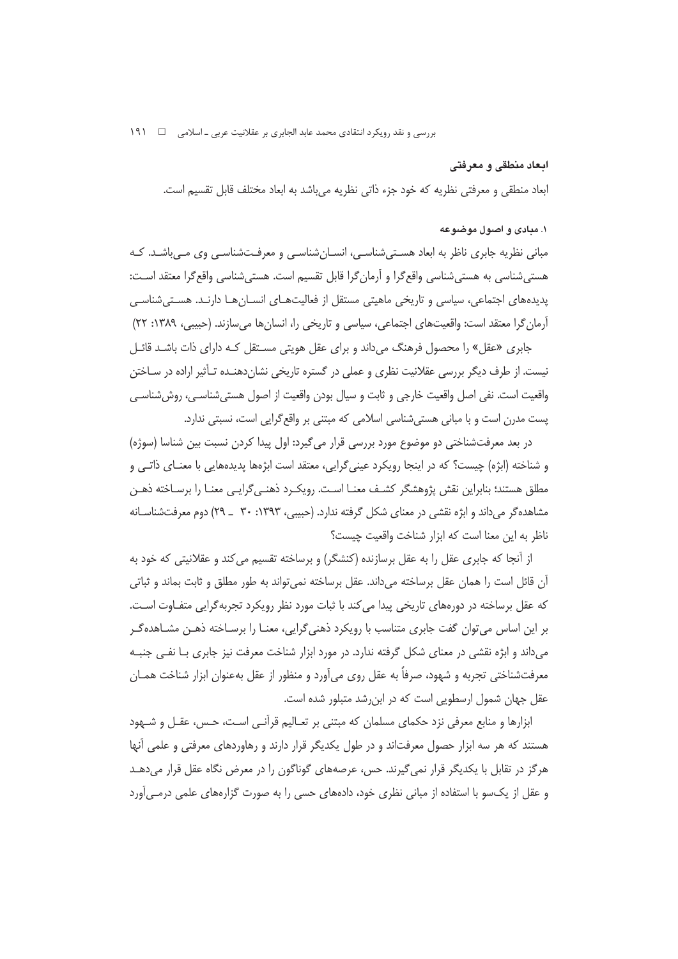### ابعاد منطقي و معرفتي

ابعاد منطقی و معرفتی نظریه که خود جزء ذاتی نظریه میباشد به ابعاد مختلف قابل تقسیم است.

## ۰۱ میادی و اصول موضوعه

مبانی نظریه جابری ناظر به ابعاد هسـتیشناسـی، انســانِشناسـی و معرفــتشناسـی وی مــیباشــد. کــه هستے،شناسی به هستے،شناسی واقع گرا و آرمان گرا قابل تقسیم است. هستی شناسی واقع گرا معتقد اسـت: پدیدههای اجتماعی، سیاسی و تاریخی ماهیتی مستقل از فعالیتهـای انسـانهـا دارنـد. هسـتے شناسـی آرمان گرا معتقد است: واقعیتهای اجتماعی، سیاسی و تاریخی را، انسانها می سازند. (حبیبی، ۱۳۸۹: ۲۲)

جابری «عقل» را محصول فرهنگ می داند و برای عقل هویتی مسـتقل کـه دارای ذات باشـد قائـل نیست. از طرف دیگر بررسی عقلانیت نظری و عملی در گستره تاریخی نشان دهنـده تـأثیر اراده در سـاختن واقعيت است. نفي اصل واقعيت خارجي و ثابت و سيال بودن واقعيت از اصول هستي شناسـي، روش شناسـي یست مدرن است و با مبانی هستی شناسی اسلامی که مبتنی بر واقع گرایی است، نسبتی ندارد.

در بعد معرفتشناختی دو موضوع مورد بررسی قرار می گیرد: اول پیدا کردن نسبت بین شناسا (سوژه) و شناخته (ابژه) چیست؟ که در اینجا رویکرد عینیگرایی، معتقد است ابژهها پدیدههایی با معنـای ذاتـی و مطلق هستند؛ بنابراین نقش پژوهشگر کشـف معنــا اسـت. رویکــرد ذهنــی&رایــی معنــا را برســاخته ذهــن مشاهده گر می داند و ابژه نقشی در معنای شکل گرفته ندارد. (حبیبی، ۱۳۹۳: ۳۰ \_ ۲۹) دوم معرفتشناسـانه ناظر به این معنا است که ابزار شناخت واقعیت چیست؟

از آنجا که جابری عقل را به عقل برسازنده (کنشگر) و برساخته تقسیم می کند و عقلانیتی که خود به آن قائل است را همان عقل برساخته میداند. عقل برساخته نمیٍ تواند به طور مطلق و ثابت بماند و ثباتی که عقل برساخته در دورههای تاریخی پیدا می کند با ثبات مورد نظر رویکرد تجربهگرایی متفـاوت اسـت. بر این اساس می توان گفت جابری متناسب با رویکرد ذهنی گرایی، معنـا را برسـاخته ذهـن مشـاهدهگـر میداند و ابژه نقشی در معنای شکل گرفته ندارد. در مورد ابزار شناخت معرفت نیز جابری بـا نفـی جنبـه معرفتشناختی تجربه و شهود، صرفاً به عقل روی میآورد و منظور از عقل بهعنوان ابزار شناخت همـان عقل جهان شمول ارسطویی است که در ابن شد متبلور شده است.

ابزارها و منابع معرفی نزد حکمای مسلمان که مبتنی بر تعـالیم قرآنـی اسـت، حـس، عقـل و شـهود هستند که هر سه ابزار حصول معرفتاند و در طول یکدیگر قرار دارند و رهاوردهای معرفتی و علمی آنها هرگز در تقابل با یکدیگر قرار نمی گیرند. حس، عرصههای گوناگون را در معرض نگاه عقل قرار می دهـد و عقل از یکسو با استفاده از مبانی نظری خود، دادههای حسی را به صورت گزارههای علمی درمـی آورد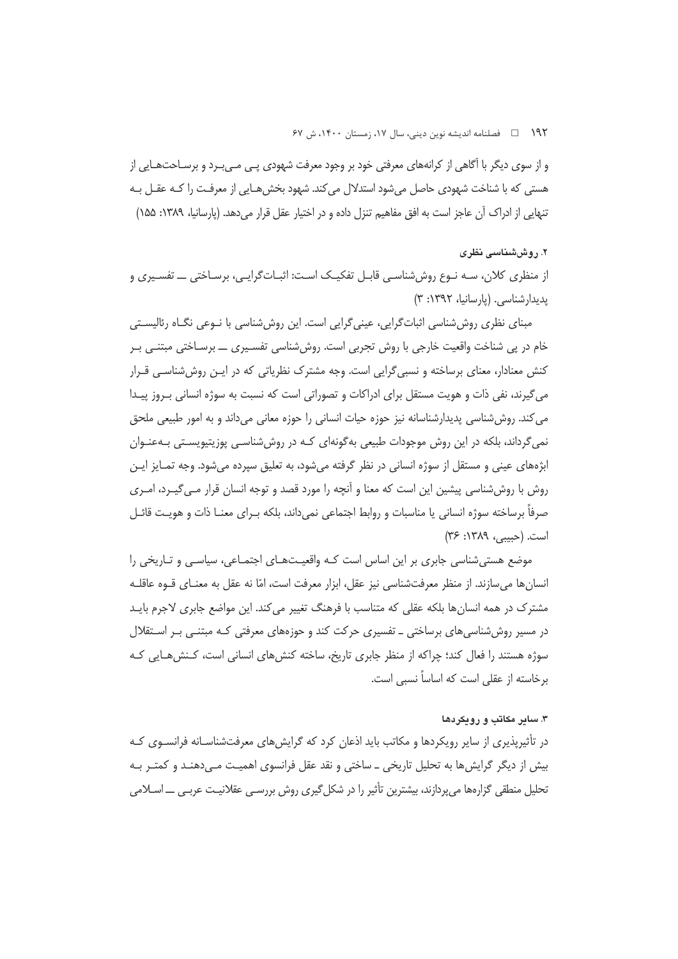۱۹۲ = □ فصلنامه اندیشه نوین دینی، سال ۱۷، زمستان ۱۴۰۰، ش ۶۷

و از سوی دیگر با آگاهی از کرانههای معرفتی خود بر وجود معرفت شهودی پـی مـی بـرد و برسـاحتهـایی از هستی که با شناخت شهودی حاصل میشود استدلال می کند. شهود بخش هـایی از معرفـت را کـه عقـل بـه تنهایی از ادراک آن عاجز است به افق مفاهیم تنزل داده و در اختیار عقل قرار می دهد. (پارسانیا، ۱۳۸۹: ۱۵۵)

### ۲. روششناسی نظری

از منظری کلان، سـه نـوع روششناسـی قابـل تفکیـک اسـت: اثبـات5رایـی، برسـاختی ـــ تفسـیری و یدیدارشناسی. (یارسانیا، ۱۳۹۲: ۳)

مبنای نظری روششناسی اثباتگرایی، عینیگرایی است. این روششناسی با نـوعی نگـاه رئالیسـتی خام در پی شناخت واقعیت خارجی با روش تجربی است. روششناسی تفسـیری ـــ برسـاختی مبتنــی بـر کنش معنادار، معنای برساخته و نسبی گرایی است. وجه مشترک نظریاتی که در ایـن روش شناسـی قـرار می گیرند، نفی ذات و هویت مستقل برای ادراکات و تصوراتی است که نسبت به سوژه انسانی بـروز پیـدا می کند. روش شناسی پدیدارشناسانه نیز جوزه حیات انسانی را جوزه معانی می داند و به امور طبیعی ملحق نمی گرداند، بلکه در این روش موجودات طبیعی به گونهای کـه در روش شناسـی پوزیتیویسـتی بـهعنـوان ابژههای عینی و مستقل از سوژه انسانی در نظر گرفته میشود، به تعلیق سپرده میشود. وجه تمـایز ایـن روش با روششناسی پیشین این است که معنا و آنچه را مورد قصد و توجه انسان قرار مـی٤گیـرد، امـری صرفاً برساخته سوژه انسانی یا مناسبات و روابط اجتماعی نمیداند، بلکه بـرای معنـا ذات و هویـت قائـل است. (حسبی، ۱۳۸۹: ۳۶)

موضع هستی شناسی جابری بر این اساس است کـه واقعیـتهـای اجتمـاعی، سیاسـی و تـاریخی را انسانها میسازند. از منظر معرفتشناسی نیز عقل، ابزار معرفت است، امّا نه عقل به معنـای قـوه عاقلـه مشترک در همه انسانها بلکه عقلی که متناسب با فرهنگ تغییر می کند. این مواضع جابری لاجرم بایـد در مسیر روش شناسی های برساختی ــ تفسیری حرکت کند و حوزههای معرفتی کـه مبتنــی بـر اسـتقلال سوژه هستند را فعال کند؛ چراکه از منظر جابری تاریخ، ساخته کنش های انسانی است، کـنش هـایی کـه برخاسته از عقلی است که اساساً نسبی است.

## ۳. سایر مکانب و رویکردها

در تأثیرپذیری از سایر رویکردها و مکاتب باید اذعان کرد که گرایشهای معرفتشناسـانه فرانسـوی کـه بیش از دیگر گرایش ها به تحلیل تاریخی ـ ساختی و نقد عقل فرانسوی اهمیت مـی دهنـد و کمتـر بـه تحلیل منطقی گزارهها می پردازند، بیشترین تأثیر را در شکل گیری روش بررسـی عقلانیـت عربـی ـــ اسـلامی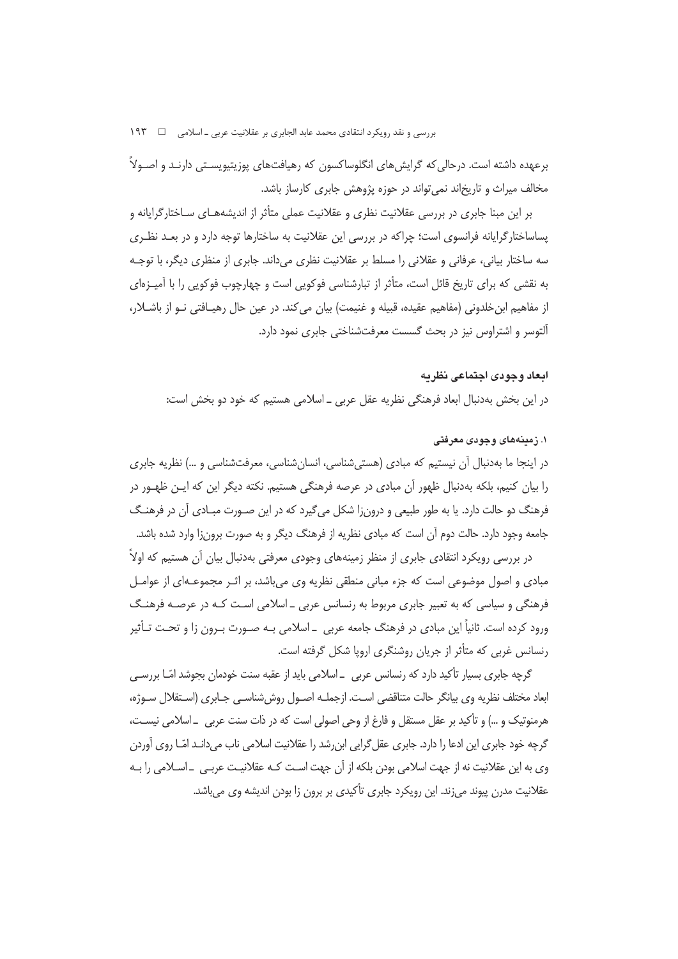برعهده داشته است. درحالی که گرایش های انگلوساکسون که رهیافتهای پوزیتیویسـتی دارنـد و اصـولاً مخالف میراث و تاریخاند نمی تواند در حوزه پژوهش جابری کارساز باشد.

بر این مبنا جابری در بررسی عقلانیت نظری و عقلانیت عملی متأثر از اندیشههـای سـاختارگرایانه و پساساختارگرایانه فرانسوی است؛ چراکه در بررسی این عقلانیت به ساختارها توجه دارد و در بعـد نظـری سه ساختار بیانی، عرفانی و عقلانی را مسلط بر عقلانیت نظری میداند. جابری از منظری دیگر، با توجـه به نقشی که برای تاریخ قائل است، متأثر از تبارشناسی فوکویی است و چهارچوب فوکویی را با آمیـزهای از مفاهيم ابن خلدوني (مفاهيم عقيده، قبيله و غنيمت) بيان مي كند. در عين حال رهيـافتي نــو از باشــلار، آلتوسر و اشتراوس نیز در بحث گسست معرفتشناختی جابری نمود دارد.

### ابعاد وجودى اجتماعي نظريه

در این بخش بهدنبال ابعاد فرهنگی نظریه عقل عربی ـ اسلامی هستیم که خود دو بخش است:

### ۱. زمینههای وجودی معرفتی

در اینجا ما بهدنبال اّن نیستیم که مبادی (هستیشناسی، انسانِشناسی، معرفتشناسی و …) نظریه جابری را بیان کنیم، بلکه بهدنبال ظهور آن مبادی در عرصه فرهنگی هستیم. نکته دیگر این که ایـن ظهـور در فرهنگ دو حالت دارد. یا به طور طبیعی و درونزا شکل میگیرد که در این صـورت مبـادی آن در فرهنـگ جامعه وجود دارد. حالت دوم آن است که مبادی نظریه از فرهنگ دیگر و به صورت برون;ا وارد شده باشد.

در بررسی رویکرد انتقادی جابری از منظر زمینههای وجودی معرفتی بهدنبال بیان آن هستیم که اولاً مبادی و اصول موضوعی است که جزء مبانی منطقی نظریه وی میباشد، بر اثـر مجموعـهای از عوامـل فرهنگی و سیاسی که به تعبیر جابری مربوط به رنسانس عربی \_اسلامی است کـه در عرصـه فرهنـگ ورود کرده است. ثانیاً این مبادی در فرهنگ جامعه عربی \_ اسلامی بـه صـورت بـرون زا و تحـت تـأثیر رنسانس غربی که متأثر از جریان روشنگری اروپا شکل گرفته است.

گرچه جابری بسیار تأکید دارد که رنسانس عربی \_اسلامی باید از عقبه سنت خودمان بجوشد امّـا بررسـی ابعاد مختلف نظریه وی بیانگر حالت متناقضی است. ازجملـه اصـول روش شناسـی جـابری (اسـتقلال سـوژه، هرمنوتيک و …) و تأکيد بر عقل مستقل و فارغ از وحي اصولي است که در ذات سنت عربي \_اسلامي نيسـت، گرچه خود جابری این ادعا را دارد. جابری عقل گرایی این شد را عقلانیت اسلامی ناب می دانـد امّـا روی آوردن وی به این عقلانیت نه از جهت اسلامی بودن بلکه از آن جهت اسـت کـه عقلانیـت عربـی ــ اســلامی را بــه عقلانیت مدرن پیوند می;ند. این رویکرد جابری تأکیدی بر برون زا بودن اندیشه وی می باشد.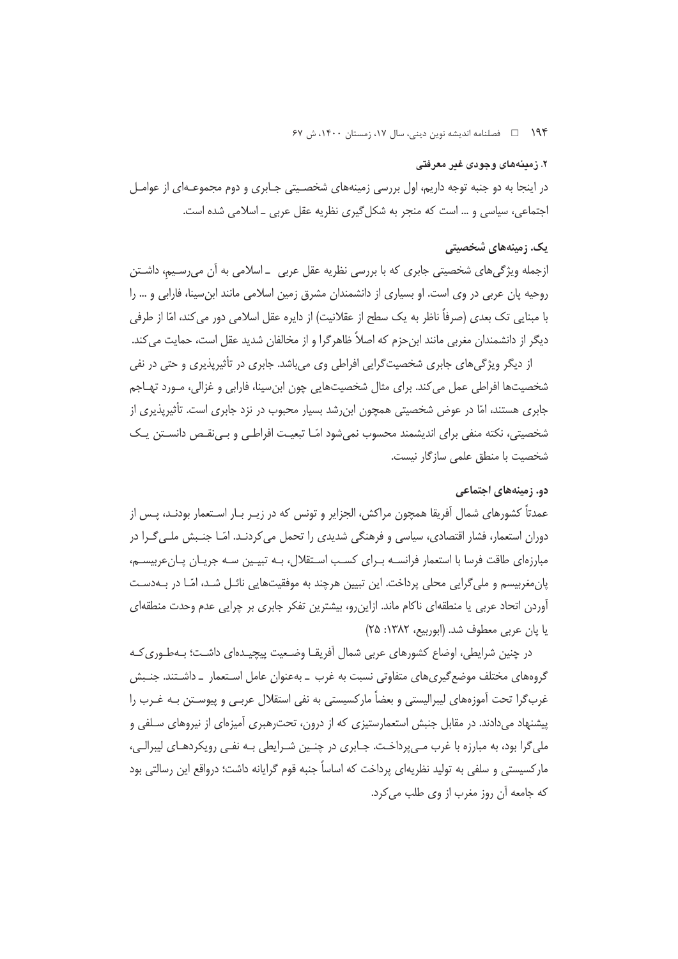۱۹۴ هـ فصلنامه انديشه نوين ديني، سال ۱۷، زمستان ۱۴۰۰، ش ۶۷

## ۲. زمینههای وجودی غیر معرفتی

در اینجا به دو جنبه توجه داریم، اول بررسی زمینههای شخصـیتی جـابری و دوم مجموعـهای از عوامـل اجتماعی، سیاسی و … است که منجر به شکل گیری نظریه عقل عربی ــ اسلامی شده است.

# یک. زمینههای شخصیتی

ازجمله ویژگی های شخصیتی جابری که با بررسی نظریه عقل عربی \_ اسلامی به آن می رسـیم، داشـتن روحیه پان عربی در وی است. او بسیاری از دانشمندان مشرق زمین اسلامی مانند ابن سینا، فارابی و … را با مبنایی تک بعدی (صرفاً ناظر به یک سطح از عقلانیت) از دایره عقل اسلامی دور می کند، امّا از طرفی دیگر از دانشمندان مغربی مانند ابن حزم که اصلاً ظاهرگرا و از مخالفان شدید عقل است، حمایت میکند.

از دیگر ویژگی های جابری شخصیت گرایی افراطی وی می باشد. جابری در تأثیریذیری و حتی در نفی شخصیتها افراطی عمل می کند. برای مثال شخصیتهایی چون ابنِسینا، فارابی و غزالی، مـورد تهـاجم جابری هستند، امّا در عوض شخصیتی همچون ابن٫شد بسیار محبوب در نزد جابری است. تأثیرپذیری از شخصیتی، نکته منفی برای اندیشمند محسوب نمیشود امّـا تبعیـت افراطـی و بـیiقـص دانسـتن یـک شخصیت با منطق علمی سازگار نیست.

### دو. زمینههای اجتماعی

عمدتاً کشورهای شمال اَفریقا همچون مراکش، الجزایر و تونس که در زیـر بـار اسـتعمار بودنـد، پـس از دوران استعمار، فشار اقتصادی، سیاسی و فرهنگی شدیدی را تحمل می کردنـد. امّـا جنـبش ملـی گـرا در مبارزهای طاقت فرسا با استعمار فرانسـه بـرای کسـب اسـتقلال، بـه تبیـین سـه جریـان پـانعربیسـم، یان،مغربیسم و ملی گرایی محلی پرداخت. این تبیین هرچند به موفقیتهایی نائـل شـد، امّـا در بـهدسـت آوردن اتحاد عربی یا منطقهای ناکام ماند. ازاین رو، بیشترین تفکر جابری بر چرایی عدم وحدت منطقهای يا بان عربي معطوف شد. (ايوربيع، ١٣٨٢: ٢٥)

در چنین شرایطی، اوضاع کشورهای عربی شمال آفریقـا وضـعیت پیچیـدهای داشـت؛ بـهطـوری کـه گروههای مختلف موضع گیریهای متفاوتی نسبت به غرب \_ بهعنوان عامل اسـتعمار \_ داشـتند. جنـبش غربگرا تحت آموزههای لیبرالیستی و بعضاً مارکسیستی به نفی استقلال عربـی و پیوسـتن بـه غـرب را پیشنهاد میدادند. در مقابل جنبش استعمارستیزی که از درون، تحترهبری آمیزهای از نیروهای سـلفی و ملي گرا بود، به مبارزه با غرب مے پرداخت. جـابري در چنـين شـرايطي بـه نفـي رويكردهـاي ليبرالـي، مارکسیستی و سلفی به تولید نظریهای پرداخت که اساساً جنبه قوم گرایانه داشت؛ درواقع این رسالتی بود كه جامعه آن روز مغرب از وى طلب مى كرد.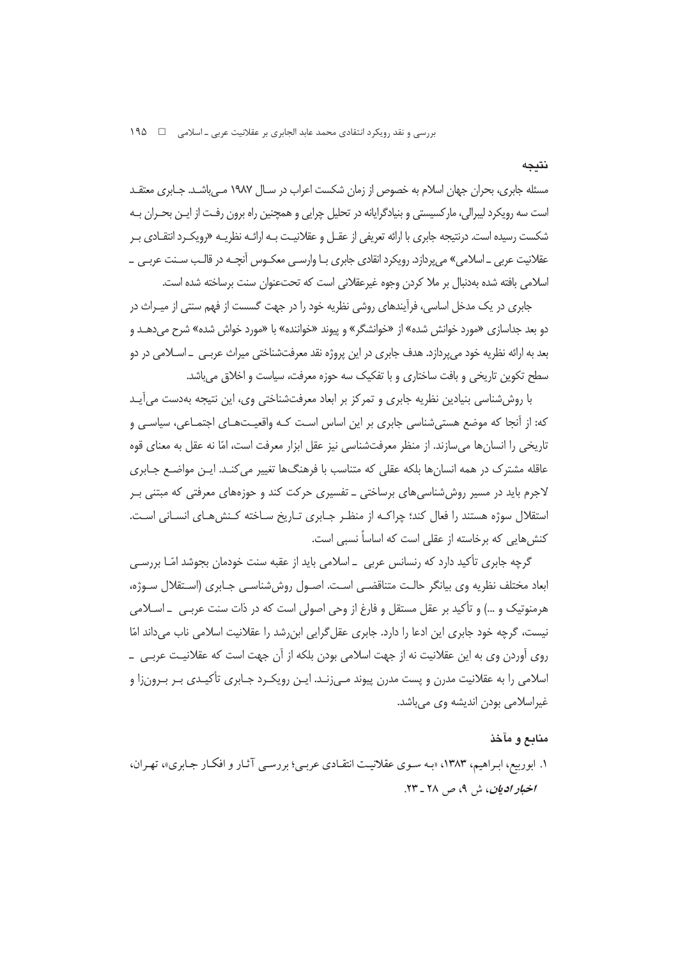مسئله جابری، بحران جهان اسلام به خصوص از زمان شکست اعراب در سـال ۱۹۸۷ مـی باشـد. جـابری معتقـد است سه رویکرد لیبرالی، مارکسیستی و بنیادگرایانه در تحلیل چرایی و همچنین راه برون رفـت از ایـن بحــران بـه شکست رسیده است. درنتیجه جابری با ارائه تعریفی از عقــل و عقلانیــت بــه ارائــه نظریــه «رویکــرد انتقــادی بــر عقلانیت عربی ـ اسلامی» می پردازد. رویکرد انقادی جابری بـا وارسـی معکـوس آنچـه در قالـب سـنت عربـی ــ اسلامی بافته شده بهدنبال بر ملا کردن وجوه غیرعقلانی است که تحتعنوان سنت برساخته شده است.

جابری در یک مدخل اساسی، فرآیندهای روشی نظریه خود را در جهت گسست از فهم سنتی از میـراث در دو بعد جداسازی «مورد خوانش شده» از «خوانشگر» و پیوند «خواننده» با «مورد خواش شده» شرح می دهــد و بعد به ارائه نظريه خود ميپردازد. هدف جابري در اين پروژه نقد معرفتشناختي ميراث عربـي \_ اســلامي در دو سطح تکوین تاریخی و بافت ساختاری و با تفکیک سه حوزه معرفت، سیاست و اخلاق می باشد.

با روششناسی بنیادین نظریه جابری و تمرکز بر ابعاد معرفتشناختی وی، این نتیجه بهدست می آیـد که: از آنجا که موضع هستی شناسی جابری بر این اساس است کـه واقعیـتهـای اجتمـاعی، سیاسـی و تاریخی را انسانها می سازند. از منظر معرفتشناسی نیز عقل ابزار معرفت است، امّا نه عقل به معنای قوه عاقله مشترک در همه انسانها بلکه عقلی که متناسب با فرهنگها تغییر می کنـد. ایـن مواضـع جـابری لاجرم باید در مسیر روش شناسی های برساختی ــ تفسیری حرکت کند و حوزههای معرفتی که مبتنی بـر استقلال سوژه هستند را فعال كند؛ چراكـه از منظـر جـابرى تـاريخ سـاخته كـنش هـاى انسـانى اسـت. کنش هایی که برخاسته از عقلی است که اساساً نسبی است.

گرچه جابری تأکید دارد که رنسانس عربی \_اسلامی باید از عقبه سنت خودمان بجوشد امّـا بررسـی ابعاد مختلف نظريه وي بيانگر حالت متناقضي است. اصـول روششناسـي جـابري (اسـتقلال سـوژه، هرمنوتیک و …) و تأکید بر عقل مستقل و فارغ از وحی اصولی است که در ذات سنت عربـی \_ اسـلامی نیست، گرچه خود جابری این ادعا را دارد. جابری عقل گرایی ابن رشد را عقلانیت اسلامی ناب می داند امّا روی آوردن وی به این عقلانیت نه از جهت اسلامی بودن بلکه از آن جهت است که عقلانیـت عربـی \_ اسلامی را به عقلانیت مدرن و پست مدرن پیوند مـی;نـد. ایـن رویکـرد جـابری تأکیـدی بـر بـرون;ا و غیراسلامی بودن اندیشه وی میباشد.

### منابع و مآخذ

۱. ابوربیع، ابـراهیم، ۱۳۸۳، «بـه سـوی عقلانیـت انتقـادی عربـی؛ بررسـی آثـار و افکـار جـابری»، تهـران، اخبار اديان، ش ۹، ص ۲۸ ـ ۲۳.

نتىجە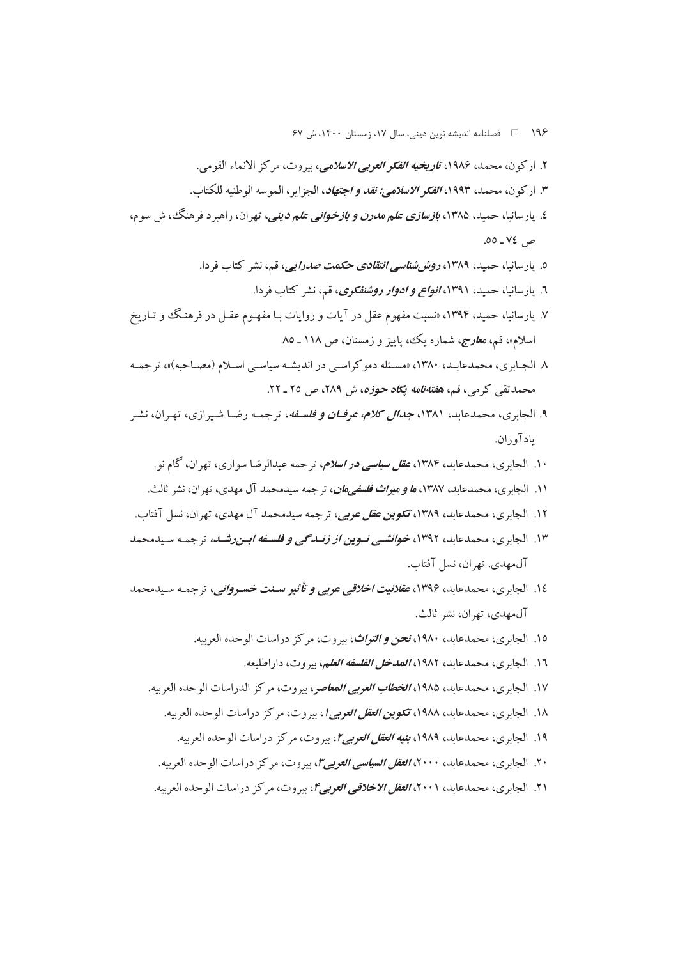۱۹۶ = □ فصلنامه اندیشه نوین دینے، سال ۱۷، زمستان ۱۴۰۰، ش ۶۷

- ٢. اركون، محمد، ١٩٨۶، ت*اريخيه الفكر العربي الاسلامي*، سروت، مركز الانماء القومي. ٣. اركون، محمد، ١٩٩٣، *الفكر الاسلامي: نقد و اجتهاد*، الجزاير، الموسه الوطنيه للكتاب. ٤. پارسانیا، حمید، ۱۳۸۵، *بازسازی علم مدرن و بازخوانی علم دینی،* تهران، راهبرد فرهنگ، ش سوم، ص ٧٤ ـ ٥٥. ٥. پارسانیا، حمید، ۱۳۸۹، *روششناسی انتقادی حکمت صدرایی،* قم، نشر کتاب فردا. ٦. پارسانیا، حمید، ١٣٩١، *انواع و ادوار روشنفکری*، قم، نشر کتاب فردا. ۷. پارسانیا، حمید، ۱۳۹۴، «نسبت مفهوم عقل در آیات و روایات بـا مفهـوم عقـل در فرهنـگ و تـاریخ اسلام»، قم، م*عاوج،* شماره یک، پاییز و زمستان، ص ۱۱۸ ـ ۸۵.
- ٨. الجبابري، محمدعابـد، ١٣٨٠، «مسـئله دموكراسـي در انديشـه سياسـي اسـلام (مصـاحبه)»، ترجمـه محمدتقی کرمی، قم، *هفتهنامه پگاه حوزه، ش ۲*۸۹، ص ۲۵ ـ ۲۲.
- ۹. الجابري، محمدعاید، ۱۳۸۱، *جدال کلام، عوفتان و فلسفه*، ترجمـه رضـا شـبرازي، تهـران، نشـر يادآوران.
	- ۱۰. الجابری، محمدعابد، ۱۳۸۴، *عقل سیاسی در اسلام، ترجمه عبدالرضا سواری*، تهران، گام نو.
	- ۱۱. الجابري، محمدعابد، ۱۳۸۷، *ما و میراث فلسفی.مان، ت*رجمه سیدمحمد آل مهدی، تهران، نشر ثالث.
- ۱۲. الجابري، محمدعابد، ۱۳۸۹، ت*کوين عقل عربي،* ترجمه سيدمحمد آل مهدي، تهران، نسل آفتاب.
- ۱۳. الجابري، محمدعابد، ۱۳۹۲، *خوانشبي نــوين از زنــدگي و فلســفه ابــن رشــد،* تر جمـه سـيدمحمد آل مهدي. تهران، نسل آفتاب.
- ١٤. الجابري، محمدعابد، ١٣٩۶، *عقلانيت اخلاقي عربي و تأثير سـنت خسـرواني*، ترجمـه سـيدمحمد آل.ههدي، تهران، نشر ثالث.
	- ۱۵. الجابري، محمدعابد، ۱۹۸۰، *نحن و التواث*، بيروت، مركز دراسات الوحده العربيه.
		- ١٦. الجابري، محمدعابد، ١٩٨٢، *المدخل الفلسفه العل*م، بيروت، داراطليعه.
	- ١٧. الجابري، محمدعابد، ١٩٨۵، *الخطاب العربي المعاص*ر، بيروت، مركز الدراسات الوحده العربيه.
		- ۱۸. الجابري، محمدعابد، ۱۹۸۸، ت*كوين العقل العربي (*، بيروت، مركز دراسات الوحده العربيه.
			- ۱۹. الجایری، محمدعاید، ۱۹۸۹، *بنیه العقل العوبی ۲*، سروت، مرکز دراسات الوحده العربیه.
		- ۲۰. الجابري، محمدعاید، ۲۰۰۰، *العقل السیاسي العوبي ۴،* پيروت، مركز دراسات الوحده العربیه.
	- ٢١. الجابري، محمدعابد، ٢٠٠١، العقل الاخلاقي العوبي۴، بيروت، مركز دراسات الوحده العربيه.